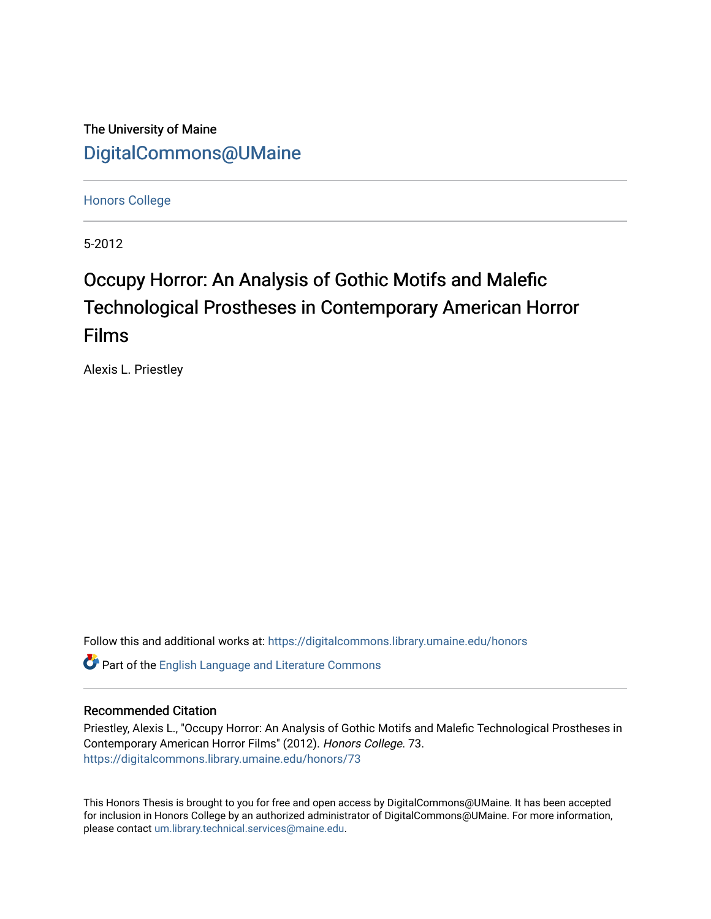The University of Maine [DigitalCommons@UMaine](https://digitalcommons.library.umaine.edu/)

[Honors College](https://digitalcommons.library.umaine.edu/honors)

5-2012

# Occupy Horror: An Analysis of Gothic Motifs and Malefic Technological Prostheses in Contemporary American Horror Films

Alexis L. Priestley

Follow this and additional works at: [https://digitalcommons.library.umaine.edu/honors](https://digitalcommons.library.umaine.edu/honors?utm_source=digitalcommons.library.umaine.edu%2Fhonors%2F73&utm_medium=PDF&utm_campaign=PDFCoverPages) 

Part of the [English Language and Literature Commons](http://network.bepress.com/hgg/discipline/455?utm_source=digitalcommons.library.umaine.edu%2Fhonors%2F73&utm_medium=PDF&utm_campaign=PDFCoverPages)

## Recommended Citation

Priestley, Alexis L., "Occupy Horror: An Analysis of Gothic Motifs and Malefic Technological Prostheses in Contemporary American Horror Films" (2012). Honors College. 73. [https://digitalcommons.library.umaine.edu/honors/73](https://digitalcommons.library.umaine.edu/honors/73?utm_source=digitalcommons.library.umaine.edu%2Fhonors%2F73&utm_medium=PDF&utm_campaign=PDFCoverPages) 

This Honors Thesis is brought to you for free and open access by DigitalCommons@UMaine. It has been accepted for inclusion in Honors College by an authorized administrator of DigitalCommons@UMaine. For more information, please contact [um.library.technical.services@maine.edu.](mailto:um.library.technical.services@maine.edu)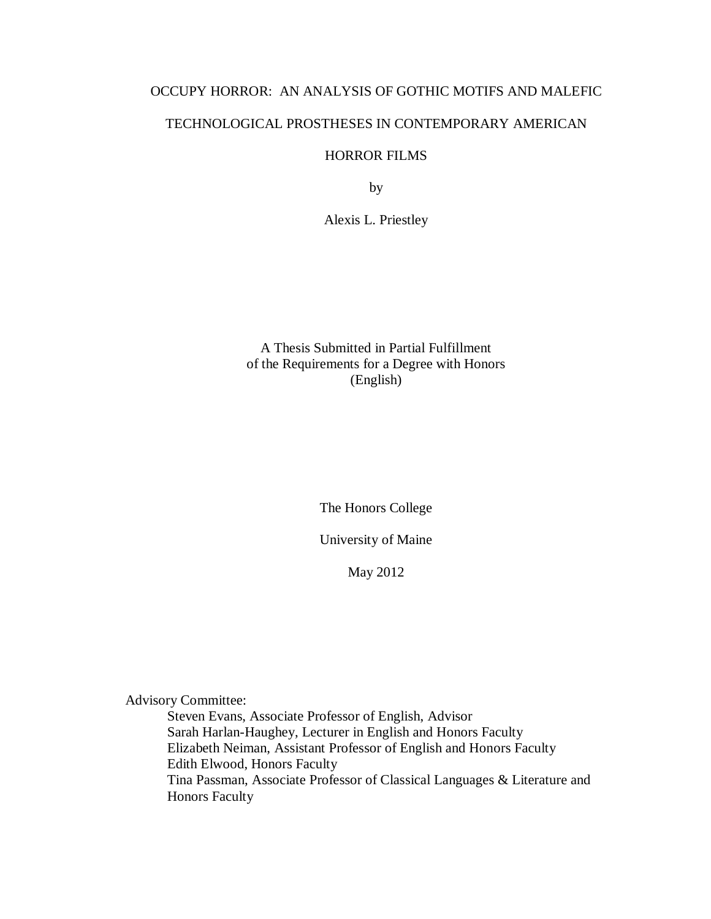# OCCUPY HORROR: AN ANALYSIS OF GOTHIC MOTIFS AND MALEFIC

# TECHNOLOGICAL PROSTHESES IN CONTEMPORARY AMERICAN

# HORROR FILMS

by

Alexis L. Priestley

# A Thesis Submitted in Partial Fulfillment of the Requirements for a Degree with Honors (English)

The Honors College

University of Maine

May 2012

Advisory Committee:

Steven Evans, Associate Professor of English, Advisor Sarah Harlan-Haughey, Lecturer in English and Honors Faculty Elizabeth Neiman, Assistant Professor of English and Honors Faculty Edith Elwood, Honors Faculty Tina Passman, Associate Professor of Classical Languages & Literature and Honors Faculty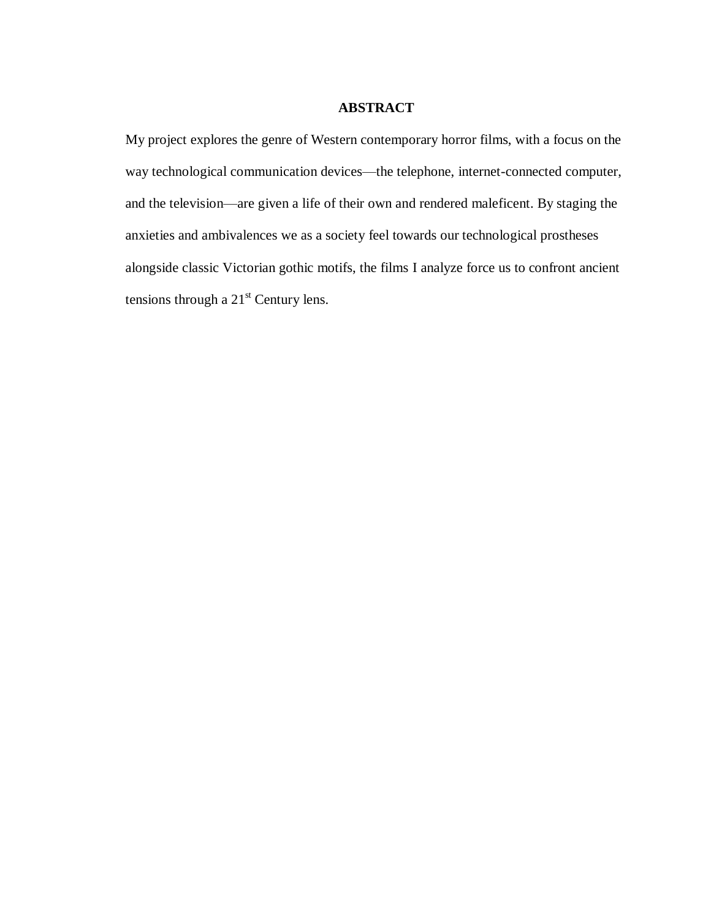#### **ABSTRACT**

My project explores the genre of Western contemporary horror films, with a focus on the way technological communication devices—the telephone, internet-connected computer, and the television—are given a life of their own and rendered maleficent. By staging the anxieties and ambivalences we as a society feel towards our technological prostheses alongside classic Victorian gothic motifs, the films I analyze force us to confront ancient tensions through a  $21<sup>st</sup>$  Century lens.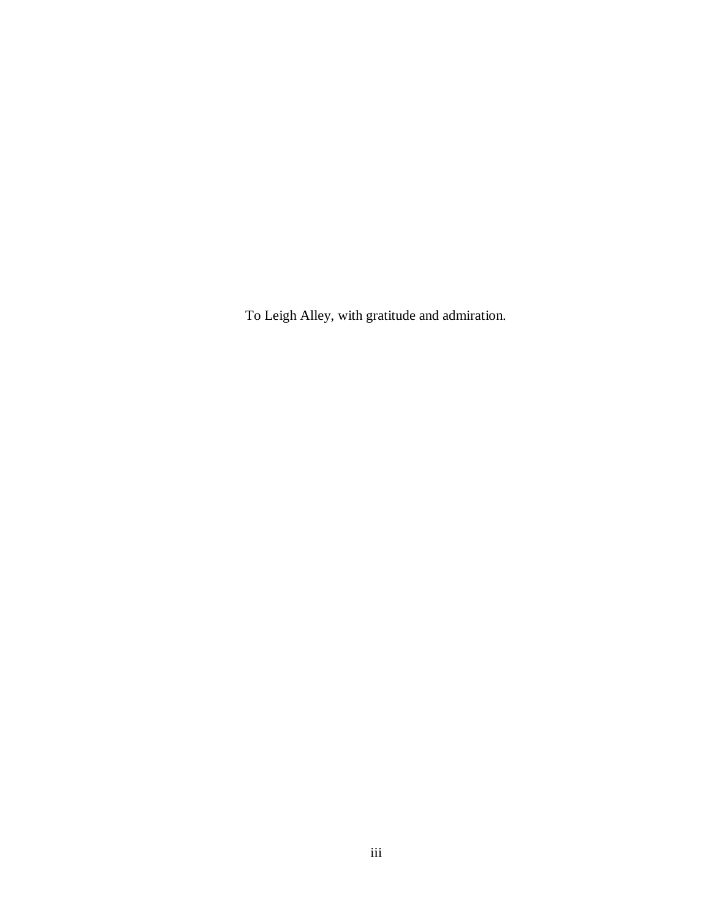To Leigh Alley, with gratitude and admiration.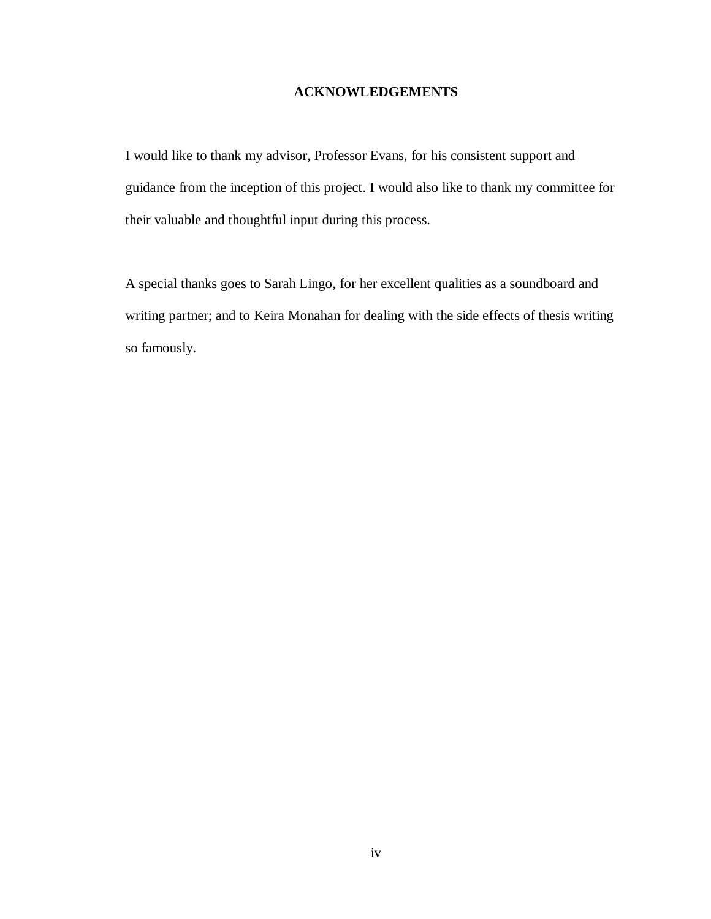# **ACKNOWLEDGEMENTS**

I would like to thank my advisor, Professor Evans, for his consistent support and guidance from the inception of this project. I would also like to thank my committee for their valuable and thoughtful input during this process.

A special thanks goes to Sarah Lingo, for her excellent qualities as a soundboard and writing partner; and to Keira Monahan for dealing with the side effects of thesis writing so famously.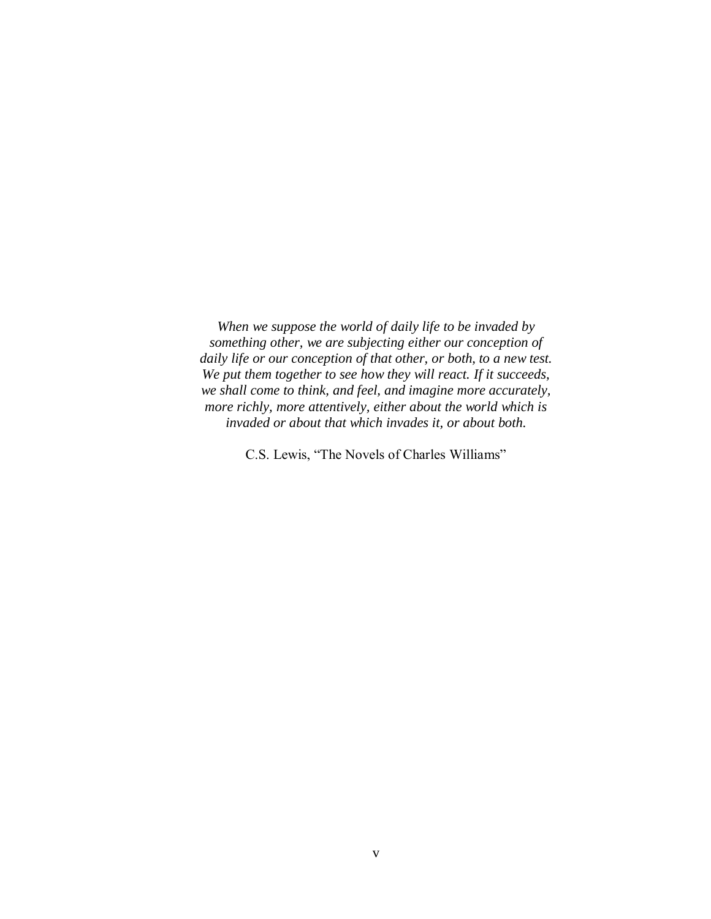*When we suppose the world of daily life to be invaded by something other, we are subjecting either our conception of daily life or our conception of that other, or both, to a new test. We put them together to see how they will react. If it succeeds, we shall come to think, and feel, and imagine more accurately, more richly, more attentively, either about the world which is invaded or about that which invades it, or about both.*

C.S. Lewis, "The Novels of Charles Williams"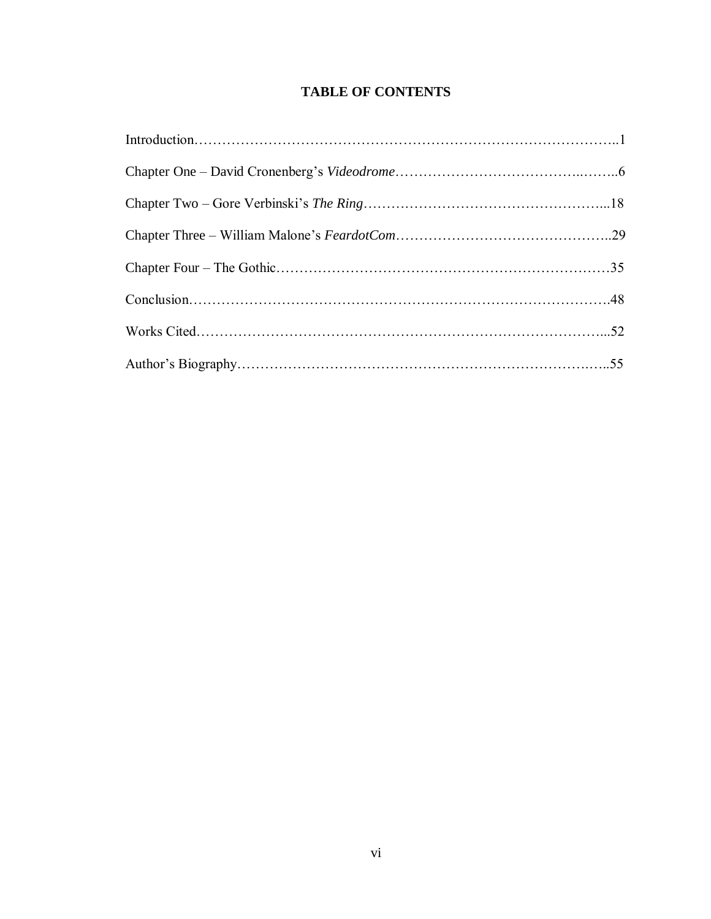# **TABLE OF CONTENTS**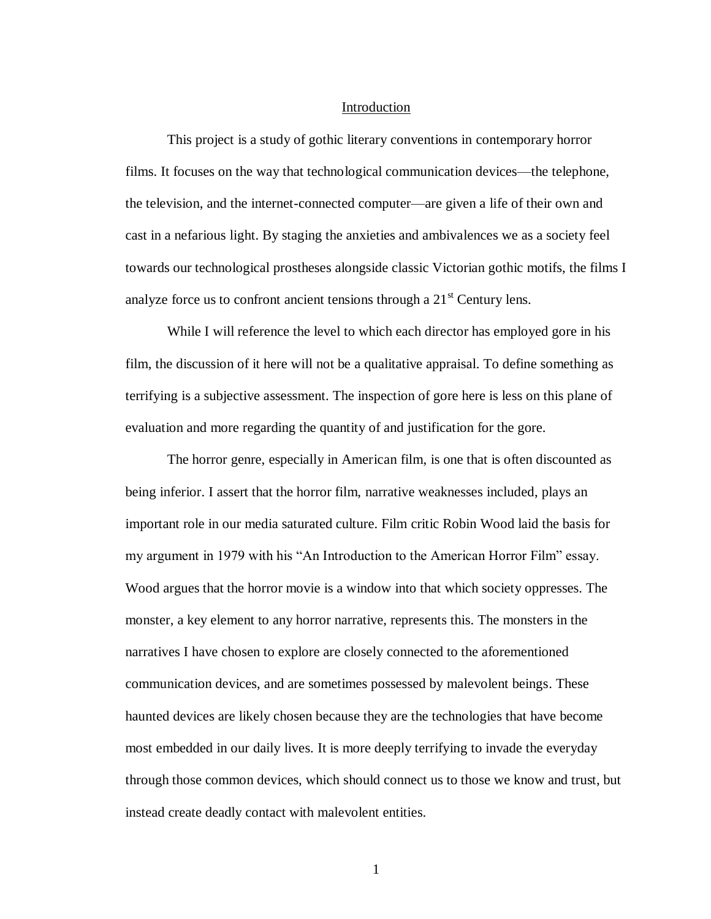#### Introduction

This project is a study of gothic literary conventions in contemporary horror films. It focuses on the way that technological communication devices—the telephone, the television, and the internet-connected computer—are given a life of their own and cast in a nefarious light. By staging the anxieties and ambivalences we as a society feel towards our technological prostheses alongside classic Victorian gothic motifs, the films I analyze force us to confront ancient tensions through a  $21<sup>st</sup>$  Century lens.

While I will reference the level to which each director has employed gore in his film, the discussion of it here will not be a qualitative appraisal. To define something as terrifying is a subjective assessment. The inspection of gore here is less on this plane of evaluation and more regarding the quantity of and justification for the gore.

The horror genre, especially in American film, is one that is often discounted as being inferior. I assert that the horror film, narrative weaknesses included, plays an important role in our media saturated culture. Film critic Robin Wood laid the basis for my argument in 1979 with his "An Introduction to the American Horror Film" essay. Wood argues that the horror movie is a window into that which society oppresses. The monster, a key element to any horror narrative, represents this. The monsters in the narratives I have chosen to explore are closely connected to the aforementioned communication devices, and are sometimes possessed by malevolent beings. These haunted devices are likely chosen because they are the technologies that have become most embedded in our daily lives. It is more deeply terrifying to invade the everyday through those common devices, which should connect us to those we know and trust, but instead create deadly contact with malevolent entities.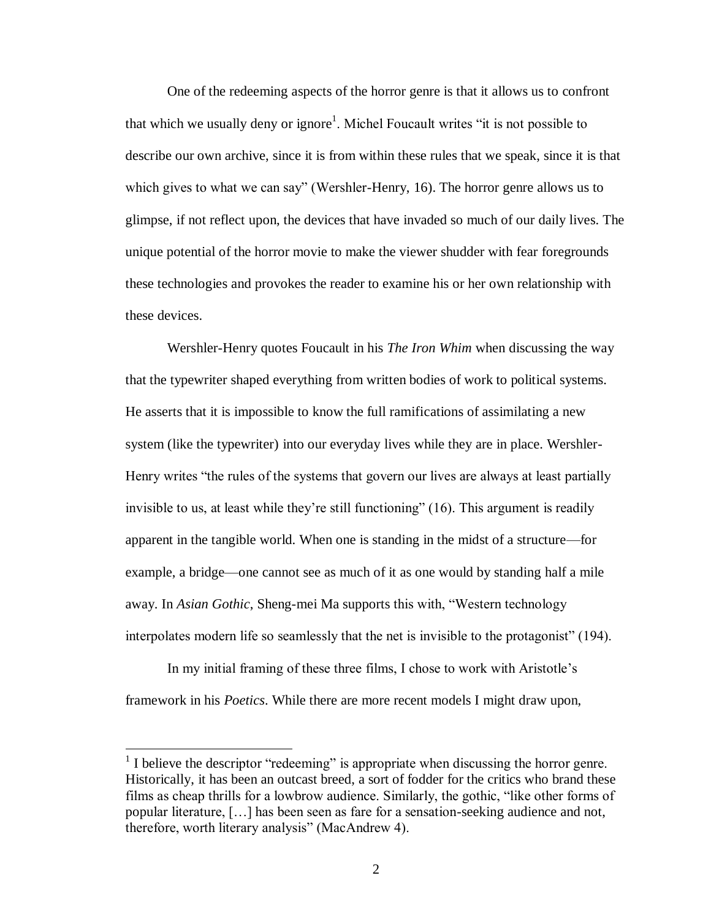One of the redeeming aspects of the horror genre is that it allows us to confront that which we usually deny or ignore<sup>1</sup>. Michel Foucault writes "it is not possible to describe our own archive, since it is from within these rules that we speak, since it is that which gives to what we can say" (Wershler-Henry, 16). The horror genre allows us to glimpse, if not reflect upon, the devices that have invaded so much of our daily lives. The unique potential of the horror movie to make the viewer shudder with fear foregrounds these technologies and provokes the reader to examine his or her own relationship with these devices.

Wershler-Henry quotes Foucault in his *The Iron Whim* when discussing the way that the typewriter shaped everything from written bodies of work to political systems. He asserts that it is impossible to know the full ramifications of assimilating a new system (like the typewriter) into our everyday lives while they are in place. Wershler-Henry writes "the rules of the systems that govern our lives are always at least partially invisible to us, at least while they're still functioning" (16). This argument is readily apparent in the tangible world. When one is standing in the midst of a structure—for example, a bridge—one cannot see as much of it as one would by standing half a mile away. In *Asian Gothic*, Sheng-mei Ma supports this with, "Western technology interpolates modern life so seamlessly that the net is invisible to the protagonist" (194).

In my initial framing of these three films, I chose to work with Aristotle's framework in his *Poetics*. While there are more recent models I might draw upon,

 $\overline{a}$ 

 $<sup>1</sup>$  I believe the descriptor "redeeming" is appropriate when discussing the horror genre.</sup> Historically, it has been an outcast breed, a sort of fodder for the critics who brand these films as cheap thrills for a lowbrow audience. Similarly, the gothic, "like other forms of popular literature, […] has been seen as fare for a sensation-seeking audience and not, therefore, worth literary analysis" (MacAndrew 4).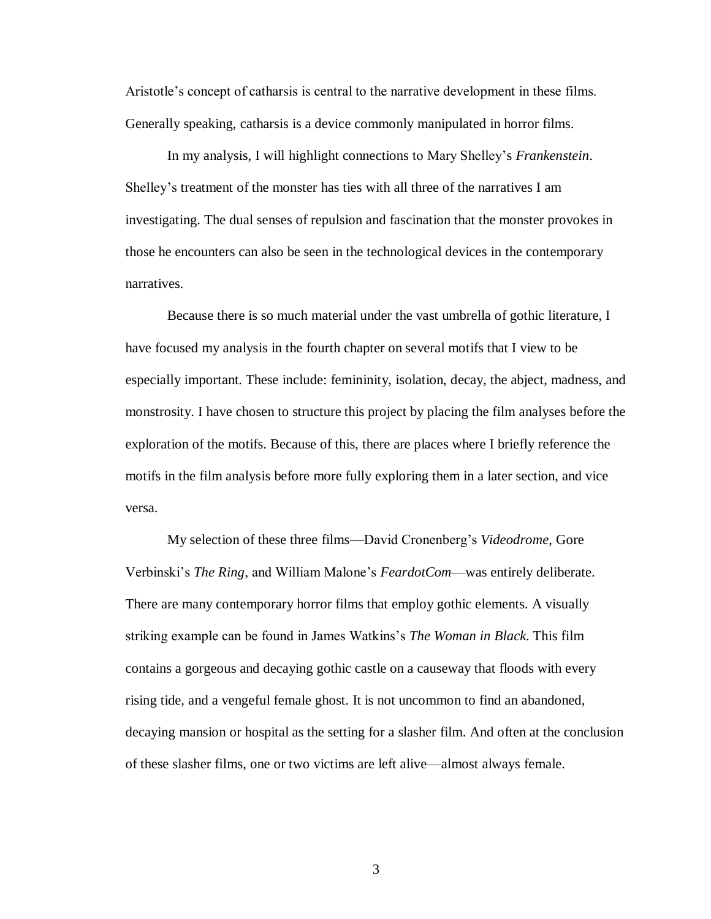Aristotle's concept of catharsis is central to the narrative development in these films. Generally speaking, catharsis is a device commonly manipulated in horror films.

In my analysis, I will highlight connections to Mary Shelley's *Frankenstein*. Shelley's treatment of the monster has ties with all three of the narratives I am investigating. The dual senses of repulsion and fascination that the monster provokes in those he encounters can also be seen in the technological devices in the contemporary narratives.

Because there is so much material under the vast umbrella of gothic literature, I have focused my analysis in the fourth chapter on several motifs that I view to be especially important. These include: femininity, isolation, decay, the abject, madness, and monstrosity. I have chosen to structure this project by placing the film analyses before the exploration of the motifs. Because of this, there are places where I briefly reference the motifs in the film analysis before more fully exploring them in a later section, and vice versa.

My selection of these three films—David Cronenberg's *Videodrome*, Gore Verbinski's *The Ring*, and William Malone's *FeardotCom*—was entirely deliberate. There are many contemporary horror films that employ gothic elements. A visually striking example can be found in James Watkins's *The Woman in Black*. This film contains a gorgeous and decaying gothic castle on a causeway that floods with every rising tide, and a vengeful female ghost. It is not uncommon to find an abandoned, decaying mansion or hospital as the setting for a slasher film. And often at the conclusion of these slasher films, one or two victims are left alive—almost always female.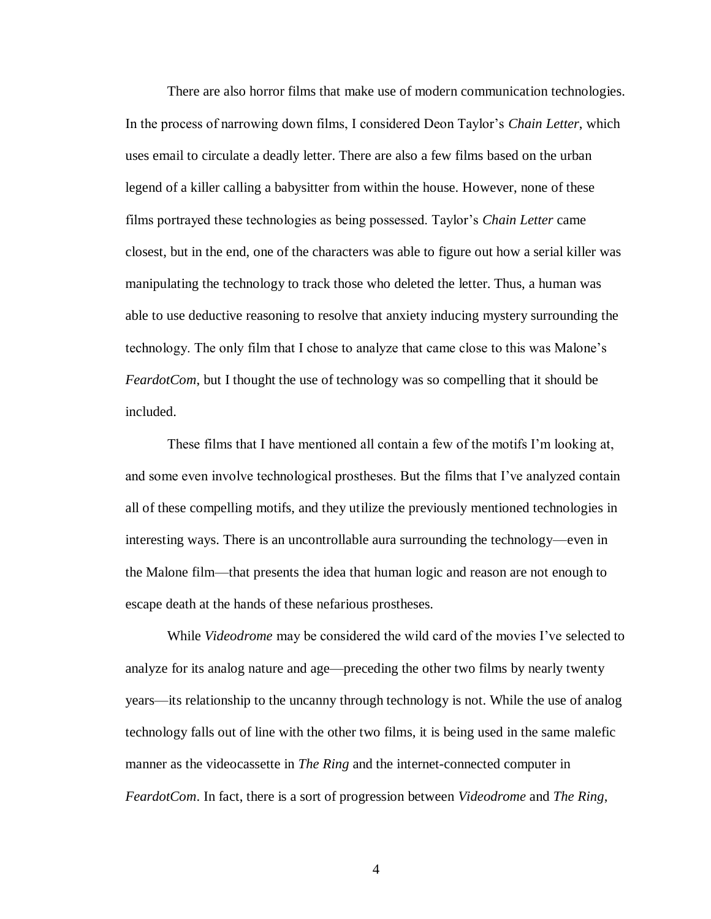There are also horror films that make use of modern communication technologies. In the process of narrowing down films, I considered Deon Taylor's *Chain Letter*, which uses email to circulate a deadly letter. There are also a few films based on the urban legend of a killer calling a babysitter from within the house. However, none of these films portrayed these technologies as being possessed. Taylor's *Chain Letter* came closest, but in the end, one of the characters was able to figure out how a serial killer was manipulating the technology to track those who deleted the letter. Thus, a human was able to use deductive reasoning to resolve that anxiety inducing mystery surrounding the technology. The only film that I chose to analyze that came close to this was Malone's *FeardotCom*, but I thought the use of technology was so compelling that it should be included.

These films that I have mentioned all contain a few of the motifs I'm looking at, and some even involve technological prostheses. But the films that I've analyzed contain all of these compelling motifs, and they utilize the previously mentioned technologies in interesting ways. There is an uncontrollable aura surrounding the technology—even in the Malone film—that presents the idea that human logic and reason are not enough to escape death at the hands of these nefarious prostheses.

While *Videodrome* may be considered the wild card of the movies I've selected to analyze for its analog nature and age—preceding the other two films by nearly twenty years—its relationship to the uncanny through technology is not. While the use of analog technology falls out of line with the other two films, it is being used in the same malefic manner as the videocassette in *The Ring* and the internet-connected computer in *FeardotCom*. In fact, there is a sort of progression between *Videodrome* and *The Ring*,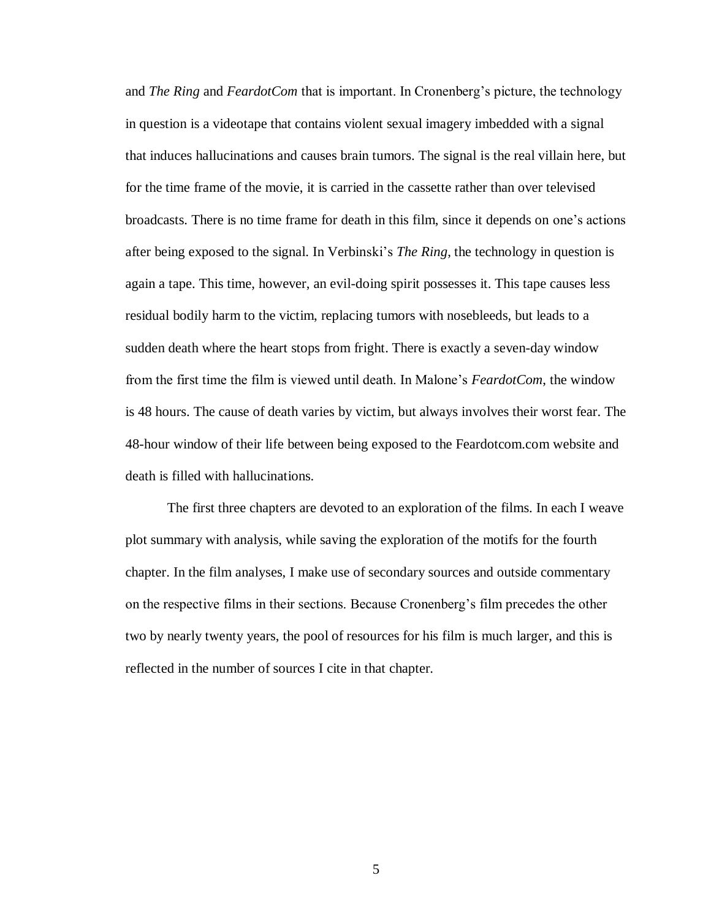and *The Ring* and *FeardotCom* that is important. In Cronenberg's picture, the technology in question is a videotape that contains violent sexual imagery imbedded with a signal that induces hallucinations and causes brain tumors. The signal is the real villain here, but for the time frame of the movie, it is carried in the cassette rather than over televised broadcasts. There is no time frame for death in this film, since it depends on one's actions after being exposed to the signal. In Verbinski's *The Ring*, the technology in question is again a tape. This time, however, an evil-doing spirit possesses it. This tape causes less residual bodily harm to the victim, replacing tumors with nosebleeds, but leads to a sudden death where the heart stops from fright. There is exactly a seven-day window from the first time the film is viewed until death. In Malone's *FeardotCom*, the window is 48 hours. The cause of death varies by victim, but always involves their worst fear. The 48-hour window of their life between being exposed to the Feardotcom.com website and death is filled with hallucinations.

The first three chapters are devoted to an exploration of the films. In each I weave plot summary with analysis, while saving the exploration of the motifs for the fourth chapter. In the film analyses, I make use of secondary sources and outside commentary on the respective films in their sections. Because Cronenberg's film precedes the other two by nearly twenty years, the pool of resources for his film is much larger, and this is reflected in the number of sources I cite in that chapter.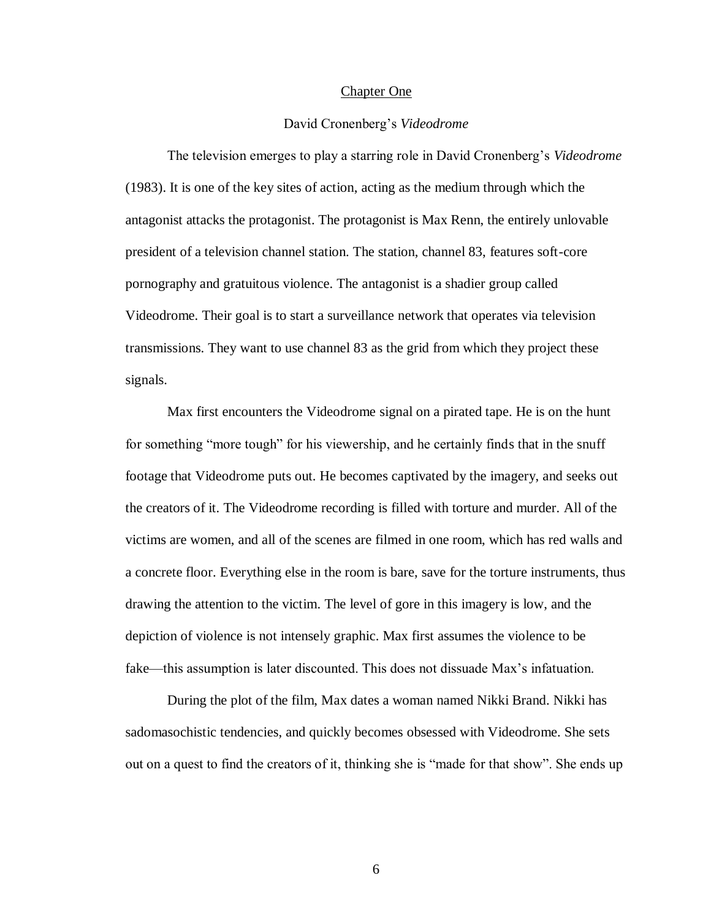#### Chapter One

#### David Cronenberg's *Videodrome*

The television emerges to play a starring role in David Cronenberg's *Videodrome* (1983). It is one of the key sites of action, acting as the medium through which the antagonist attacks the protagonist. The protagonist is Max Renn, the entirely unlovable president of a television channel station. The station, channel 83, features soft-core pornography and gratuitous violence. The antagonist is a shadier group called Videodrome. Their goal is to start a surveillance network that operates via television transmissions. They want to use channel 83 as the grid from which they project these signals.

Max first encounters the Videodrome signal on a pirated tape. He is on the hunt for something "more tough" for his viewership, and he certainly finds that in the snuff footage that Videodrome puts out. He becomes captivated by the imagery, and seeks out the creators of it. The Videodrome recording is filled with torture and murder. All of the victims are women, and all of the scenes are filmed in one room, which has red walls and a concrete floor. Everything else in the room is bare, save for the torture instruments, thus drawing the attention to the victim. The level of gore in this imagery is low, and the depiction of violence is not intensely graphic. Max first assumes the violence to be fake—this assumption is later discounted. This does not dissuade Max's infatuation.

During the plot of the film, Max dates a woman named Nikki Brand. Nikki has sadomasochistic tendencies, and quickly becomes obsessed with Videodrome. She sets out on a quest to find the creators of it, thinking she is "made for that show". She ends up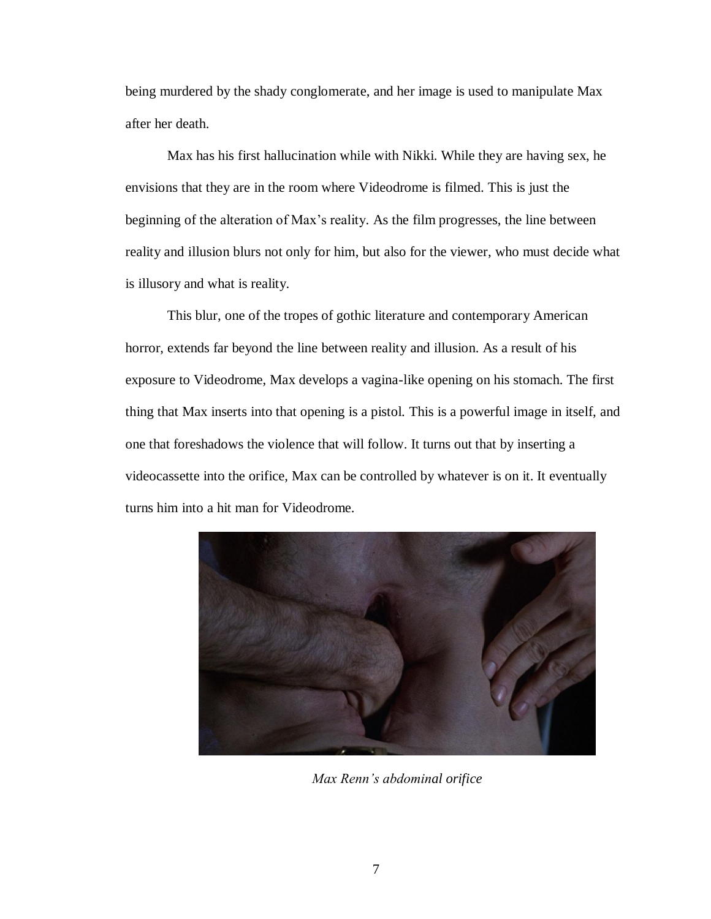being murdered by the shady conglomerate, and her image is used to manipulate Max after her death.

Max has his first hallucination while with Nikki. While they are having sex, he envisions that they are in the room where Videodrome is filmed. This is just the beginning of the alteration of Max's reality. As the film progresses, the line between reality and illusion blurs not only for him, but also for the viewer, who must decide what is illusory and what is reality.

This blur, one of the tropes of gothic literature and contemporary American horror, extends far beyond the line between reality and illusion. As a result of his exposure to Videodrome, Max develops a vagina-like opening on his stomach. The first thing that Max inserts into that opening is a pistol. This is a powerful image in itself, and one that foreshadows the violence that will follow. It turns out that by inserting a videocassette into the orifice, Max can be controlled by whatever is on it. It eventually turns him into a hit man for Videodrome.



*Max Renn's abdominal orifice*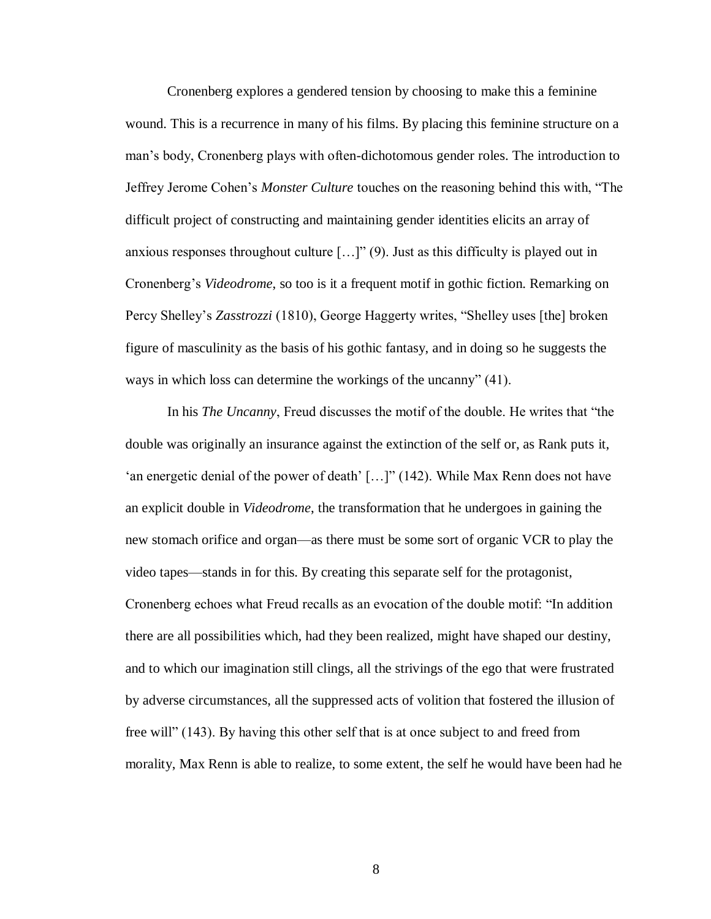Cronenberg explores a gendered tension by choosing to make this a feminine wound. This is a recurrence in many of his films. By placing this feminine structure on a man's body, Cronenberg plays with often-dichotomous gender roles. The introduction to Jeffrey Jerome Cohen's *Monster Culture* touches on the reasoning behind this with, "The difficult project of constructing and maintaining gender identities elicits an array of anxious responses throughout culture  $[...]$ " (9). Just as this difficulty is played out in Cronenberg's *Videodrome*, so too is it a frequent motif in gothic fiction. Remarking on Percy Shelley's *Zasstrozzi* (1810), George Haggerty writes, "Shelley uses [the] broken figure of masculinity as the basis of his gothic fantasy, and in doing so he suggests the ways in which loss can determine the workings of the uncanny" (41).

In his *The Uncanny*, Freud discusses the motif of the double. He writes that "the double was originally an insurance against the extinction of the self or, as Rank puts it, 'an energetic denial of the power of death' […]" (142). While Max Renn does not have an explicit double in *Videodrome*, the transformation that he undergoes in gaining the new stomach orifice and organ—as there must be some sort of organic VCR to play the video tapes—stands in for this. By creating this separate self for the protagonist, Cronenberg echoes what Freud recalls as an evocation of the double motif: "In addition there are all possibilities which, had they been realized, might have shaped our destiny, and to which our imagination still clings, all the strivings of the ego that were frustrated by adverse circumstances, all the suppressed acts of volition that fostered the illusion of free will" (143). By having this other self that is at once subject to and freed from morality, Max Renn is able to realize, to some extent, the self he would have been had he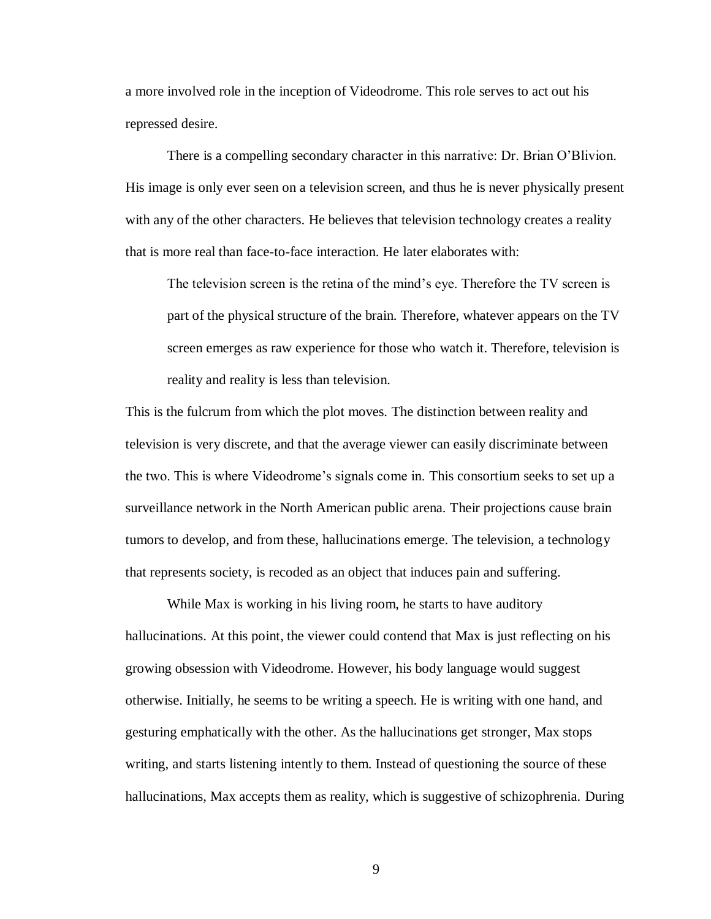a more involved role in the inception of Videodrome. This role serves to act out his repressed desire.

There is a compelling secondary character in this narrative: Dr. Brian O'Blivion. His image is only ever seen on a television screen, and thus he is never physically present with any of the other characters. He believes that television technology creates a reality that is more real than face-to-face interaction. He later elaborates with:

The television screen is the retina of the mind's eye. Therefore the TV screen is part of the physical structure of the brain. Therefore, whatever appears on the TV screen emerges as raw experience for those who watch it. Therefore, television is reality and reality is less than television.

This is the fulcrum from which the plot moves. The distinction between reality and television is very discrete, and that the average viewer can easily discriminate between the two. This is where Videodrome's signals come in. This consortium seeks to set up a surveillance network in the North American public arena. Their projections cause brain tumors to develop, and from these, hallucinations emerge. The television, a technology that represents society, is recoded as an object that induces pain and suffering.

While Max is working in his living room, he starts to have auditory hallucinations. At this point, the viewer could contend that Max is just reflecting on his growing obsession with Videodrome. However, his body language would suggest otherwise. Initially, he seems to be writing a speech. He is writing with one hand, and gesturing emphatically with the other. As the hallucinations get stronger, Max stops writing, and starts listening intently to them. Instead of questioning the source of these hallucinations, Max accepts them as reality, which is suggestive of schizophrenia. During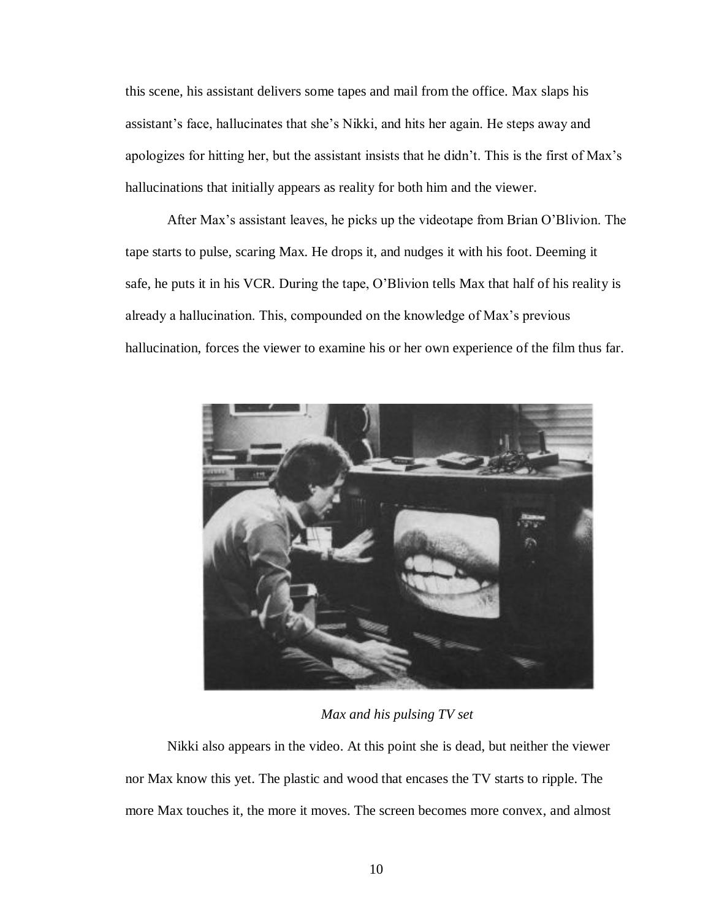this scene, his assistant delivers some tapes and mail from the office. Max slaps his assistant's face, hallucinates that she's Nikki, and hits her again. He steps away and apologizes for hitting her, but the assistant insists that he didn't. This is the first of Max's hallucinations that initially appears as reality for both him and the viewer.

After Max's assistant leaves, he picks up the videotape from Brian O'Blivion. The tape starts to pulse, scaring Max. He drops it, and nudges it with his foot. Deeming it safe, he puts it in his VCR. During the tape, O'Blivion tells Max that half of his reality is already a hallucination. This, compounded on the knowledge of Max's previous hallucination, forces the viewer to examine his or her own experience of the film thus far.



*Max and his pulsing TV set*

Nikki also appears in the video. At this point she is dead, but neither the viewer nor Max know this yet. The plastic and wood that encases the TV starts to ripple. The more Max touches it, the more it moves. The screen becomes more convex, and almost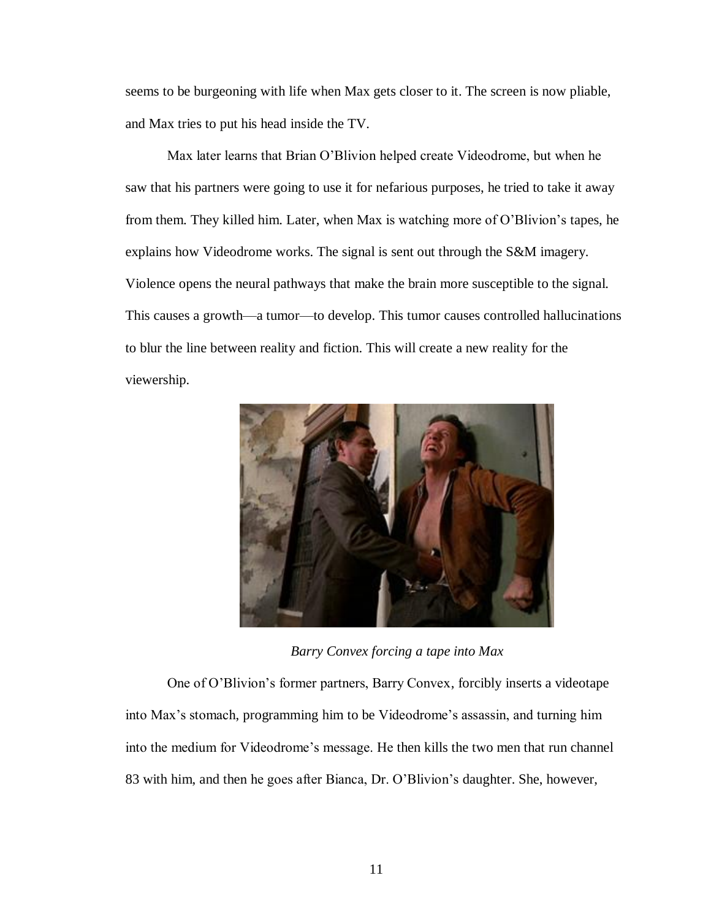seems to be burgeoning with life when Max gets closer to it. The screen is now pliable, and Max tries to put his head inside the TV.

Max later learns that Brian O'Blivion helped create Videodrome, but when he saw that his partners were going to use it for nefarious purposes, he tried to take it away from them. They killed him. Later, when Max is watching more of O'Blivion's tapes, he explains how Videodrome works. The signal is sent out through the S&M imagery. Violence opens the neural pathways that make the brain more susceptible to the signal. This causes a growth—a tumor—to develop. This tumor causes controlled hallucinations to blur the line between reality and fiction. This will create a new reality for the viewership.



*Barry Convex forcing a tape into Max*

One of O'Blivion's former partners, Barry Convex, forcibly inserts a videotape into Max's stomach, programming him to be Videodrome's assassin, and turning him into the medium for Videodrome's message. He then kills the two men that run channel 83 with him, and then he goes after Bianca, Dr. O'Blivion's daughter. She, however,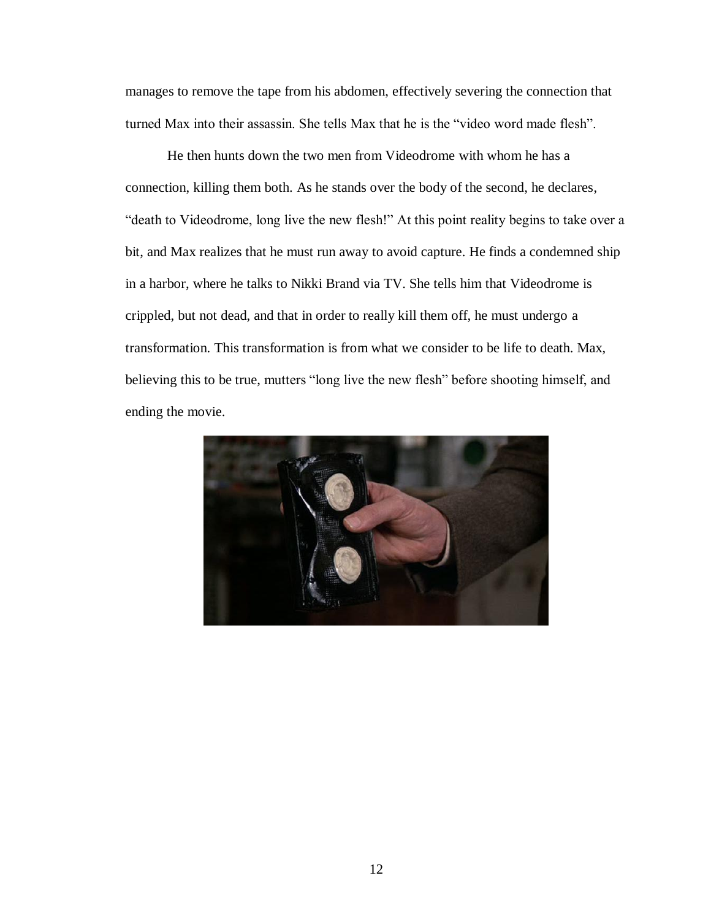manages to remove the tape from his abdomen, effectively severing the connection that turned Max into their assassin. She tells Max that he is the "video word made flesh".

He then hunts down the two men from Videodrome with whom he has a connection, killing them both. As he stands over the body of the second, he declares, "death to Videodrome, long live the new flesh!" At this point reality begins to take over a bit, and Max realizes that he must run away to avoid capture. He finds a condemned ship in a harbor, where he talks to Nikki Brand via TV. She tells him that Videodrome is crippled, but not dead, and that in order to really kill them off, he must undergo a transformation. This transformation is from what we consider to be life to death. Max, believing this to be true, mutters "long live the new flesh" before shooting himself, and ending the movie.

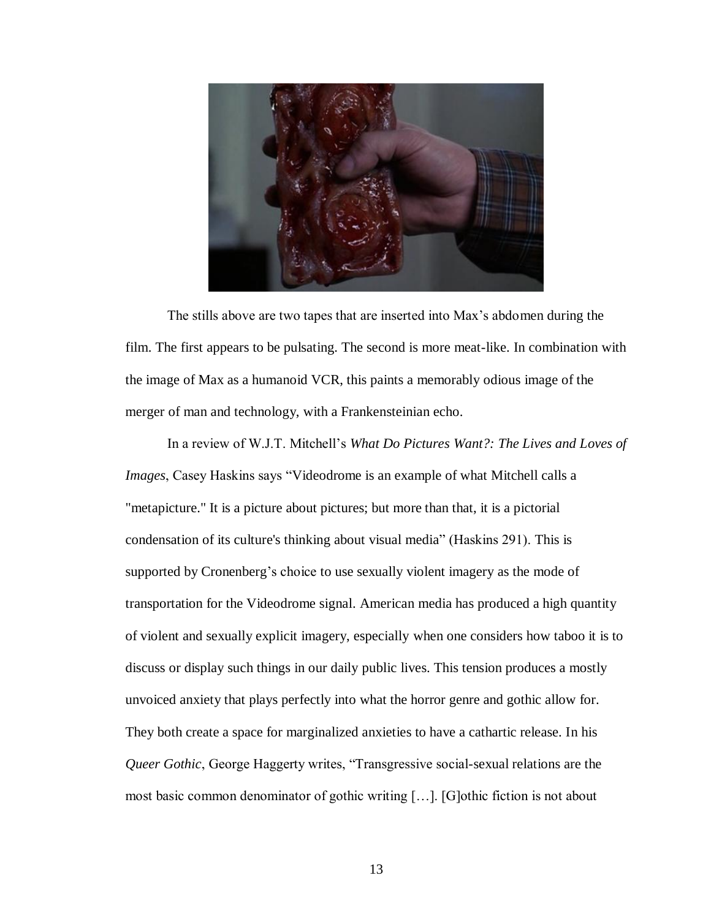

The stills above are two tapes that are inserted into Max's abdomen during the film. The first appears to be pulsating. The second is more meat-like. In combination with the image of Max as a humanoid VCR, this paints a memorably odious image of the merger of man and technology, with a Frankensteinian echo.

In a review of W.J.T. Mitchell's *What Do Pictures Want?: The Lives and Loves of Images*, Casey Haskins says "Videodrome is an example of what Mitchell calls a "metapicture." It is a picture about pictures; but more than that, it is a pictorial condensation of its culture's thinking about visual media" (Haskins 291). This is supported by Cronenberg's choice to use sexually violent imagery as the mode of transportation for the Videodrome signal. American media has produced a high quantity of violent and sexually explicit imagery, especially when one considers how taboo it is to discuss or display such things in our daily public lives. This tension produces a mostly unvoiced anxiety that plays perfectly into what the horror genre and gothic allow for. They both create a space for marginalized anxieties to have a cathartic release. In his *Queer Gothic*, George Haggerty writes, "Transgressive social-sexual relations are the most basic common denominator of gothic writing […]. [G]othic fiction is not about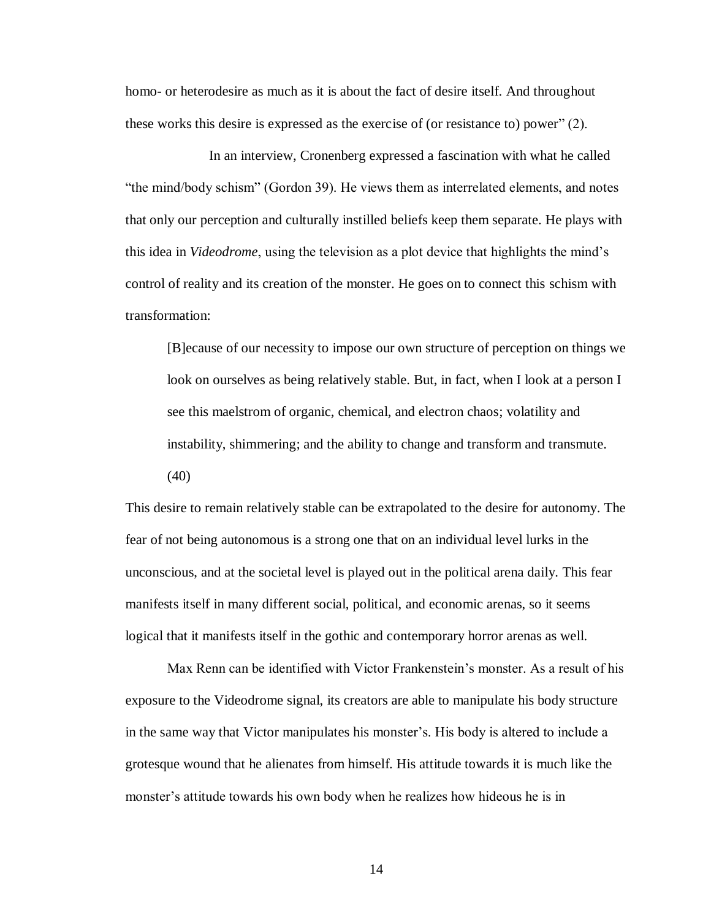homo- or heterodesire as much as it is about the fact of desire itself. And throughout these works this desire is expressed as the exercise of (or resistance to) power" (2).

In an interview, Cronenberg expressed a fascination with what he called "the mind/body schism" (Gordon 39). He views them as interrelated elements, and notes that only our perception and culturally instilled beliefs keep them separate. He plays with this idea in *Videodrome*, using the television as a plot device that highlights the mind's control of reality and its creation of the monster. He goes on to connect this schism with transformation:

[B]ecause of our necessity to impose our own structure of perception on things we look on ourselves as being relatively stable. But, in fact, when I look at a person I see this maelstrom of organic, chemical, and electron chaos; volatility and instability, shimmering; and the ability to change and transform and transmute. (40)

This desire to remain relatively stable can be extrapolated to the desire for autonomy. The fear of not being autonomous is a strong one that on an individual level lurks in the unconscious, and at the societal level is played out in the political arena daily. This fear manifests itself in many different social, political, and economic arenas, so it seems logical that it manifests itself in the gothic and contemporary horror arenas as well.

Max Renn can be identified with Victor Frankenstein's monster. As a result of his exposure to the Videodrome signal, its creators are able to manipulate his body structure in the same way that Victor manipulates his monster's. His body is altered to include a grotesque wound that he alienates from himself. His attitude towards it is much like the monster's attitude towards his own body when he realizes how hideous he is in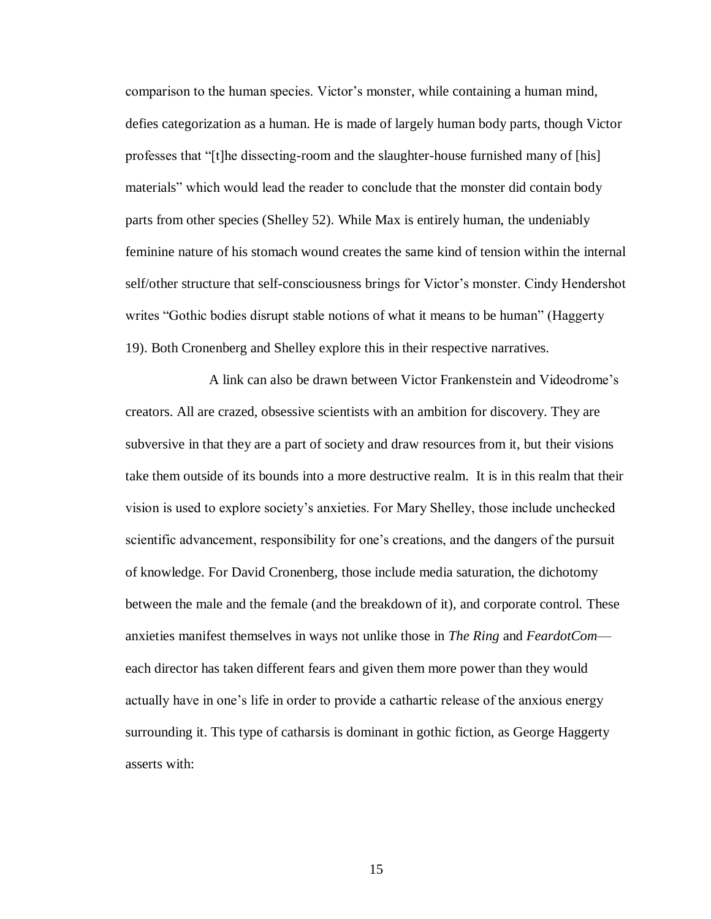comparison to the human species. Victor's monster, while containing a human mind, defies categorization as a human. He is made of largely human body parts, though Victor professes that "[t]he dissecting-room and the slaughter-house furnished many of [his] materials" which would lead the reader to conclude that the monster did contain body parts from other species (Shelley 52). While Max is entirely human, the undeniably feminine nature of his stomach wound creates the same kind of tension within the internal self/other structure that self-consciousness brings for Victor's monster. Cindy Hendershot writes "Gothic bodies disrupt stable notions of what it means to be human" (Haggerty 19). Both Cronenberg and Shelley explore this in their respective narratives.

A link can also be drawn between Victor Frankenstein and Videodrome's creators. All are crazed, obsessive scientists with an ambition for discovery. They are subversive in that they are a part of society and draw resources from it, but their visions take them outside of its bounds into a more destructive realm. It is in this realm that their vision is used to explore society's anxieties. For Mary Shelley, those include unchecked scientific advancement, responsibility for one's creations, and the dangers of the pursuit of knowledge. For David Cronenberg, those include media saturation, the dichotomy between the male and the female (and the breakdown of it), and corporate control. These anxieties manifest themselves in ways not unlike those in *The Ring* and *FeardotCom* each director has taken different fears and given them more power than they would actually have in one's life in order to provide a cathartic release of the anxious energy surrounding it. This type of catharsis is dominant in gothic fiction, as George Haggerty asserts with: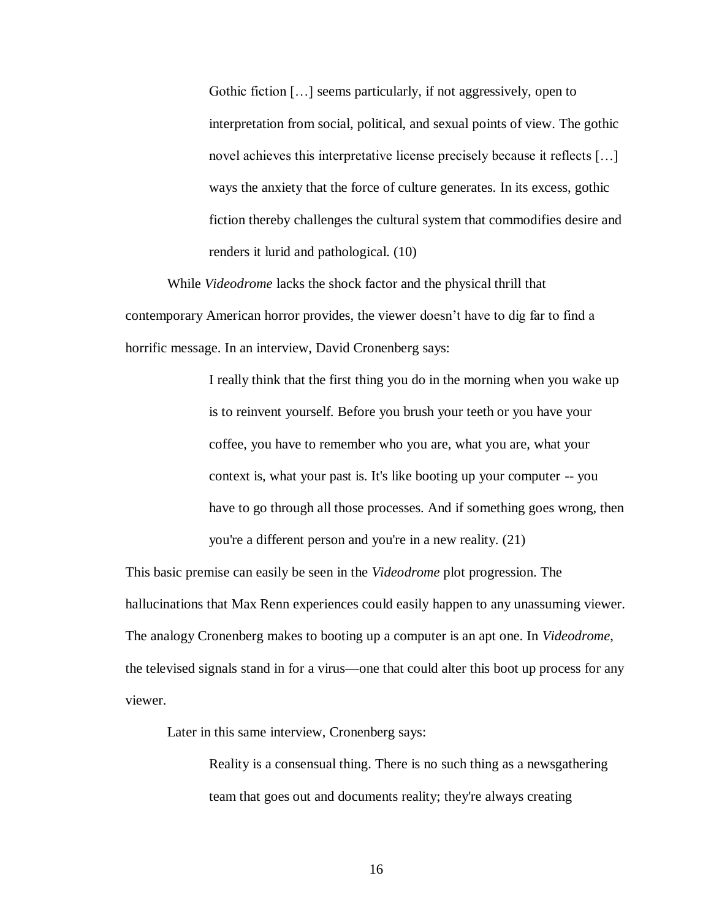Gothic fiction […] seems particularly, if not aggressively, open to interpretation from social, political, and sexual points of view. The gothic novel achieves this interpretative license precisely because it reflects [...] ways the anxiety that the force of culture generates. In its excess, gothic fiction thereby challenges the cultural system that commodifies desire and renders it lurid and pathological. (10)

While *Videodrome* lacks the shock factor and the physical thrill that contemporary American horror provides, the viewer doesn't have to dig far to find a horrific message. In an interview, David Cronenberg says:

> I really think that the first thing you do in the morning when you wake up is to reinvent yourself. Before you brush your teeth or you have your coffee, you have to remember who you are, what you are, what your context is, what your past is. It's like booting up your computer -- you have to go through all those processes. And if something goes wrong, then you're a different person and you're in a new reality. (21)

This basic premise can easily be seen in the *Videodrome* plot progression. The hallucinations that Max Renn experiences could easily happen to any unassuming viewer. The analogy Cronenberg makes to booting up a computer is an apt one. In *Videodrome*, the televised signals stand in for a virus—one that could alter this boot up process for any viewer.

Later in this same interview, Cronenberg says:

Reality is a consensual thing. There is no such thing as a newsgathering team that goes out and documents reality; they're always creating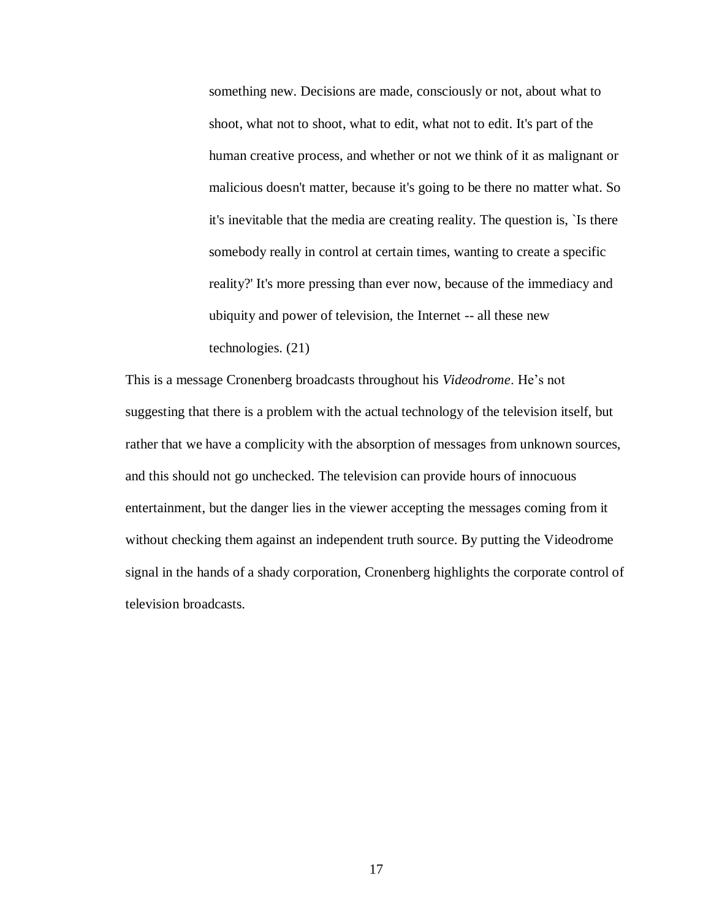something new. Decisions are made, consciously or not, about what to shoot, what not to shoot, what to edit, what not to edit. It's part of the human creative process, and whether or not we think of it as malignant or malicious doesn't matter, because it's going to be there no matter what. So it's inevitable that the media are creating reality. The question is, `Is there somebody really in control at certain times, wanting to create a specific reality?' It's more pressing than ever now, because of the immediacy and ubiquity and power of television, the Internet -- all these new technologies. (21)

This is a message Cronenberg broadcasts throughout his *Videodrome*. He's not suggesting that there is a problem with the actual technology of the television itself, but rather that we have a complicity with the absorption of messages from unknown sources, and this should not go unchecked. The television can provide hours of innocuous entertainment, but the danger lies in the viewer accepting the messages coming from it without checking them against an independent truth source. By putting the Videodrome signal in the hands of a shady corporation, Cronenberg highlights the corporate control of television broadcasts.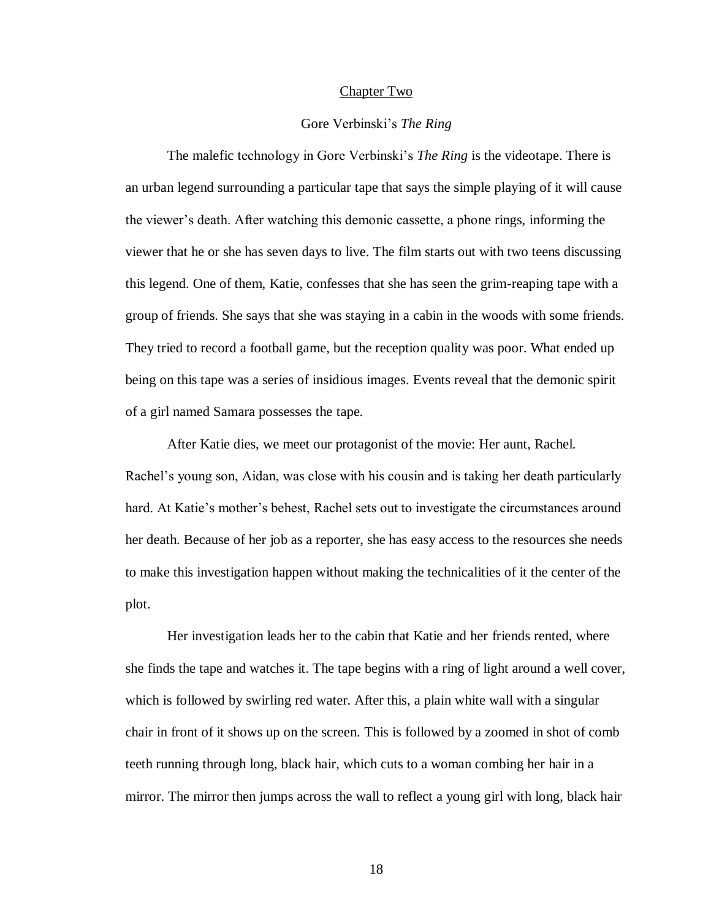#### Chapter Two

#### Gore Verbinski's *The Ring*

The malefic technology in Gore Verbinski's *The Ring* is the videotape. There is an urban legend surrounding a particular tape that says the simple playing of it will cause the viewer's death. After watching this demonic cassette, a phone rings, informing the viewer that he or she has seven days to live. The film starts out with two teens discussing this legend. One of them, Katie, confesses that she has seen the grim-reaping tape with a group of friends. She says that she was staying in a cabin in the woods with some friends. They tried to record a football game, but the reception quality was poor. What ended up being on this tape was a series of insidious images. Events reveal that the demonic spirit of a girl named Samara possesses the tape.

After Katie dies, we meet our protagonist of the movie: Her aunt, Rachel. Rachel's young son, Aidan, was close with his cousin and is taking her death particularly hard. At Katie's mother's behest, Rachel sets out to investigate the circumstances around her death. Because of her job as a reporter, she has easy access to the resources she needs to make this investigation happen without making the technicalities of it the center of the plot.

Her investigation leads her to the cabin that Katie and her friends rented, where she finds the tape and watches it. The tape begins with a ring of light around a well cover, which is followed by swirling red water. After this, a plain white wall with a singular chair in front of it shows up on the screen. This is followed by a zoomed in shot of comb teeth running through long, black hair, which cuts to a woman combing her hair in a mirror. The mirror then jumps across the wall to reflect a young girl with long, black hair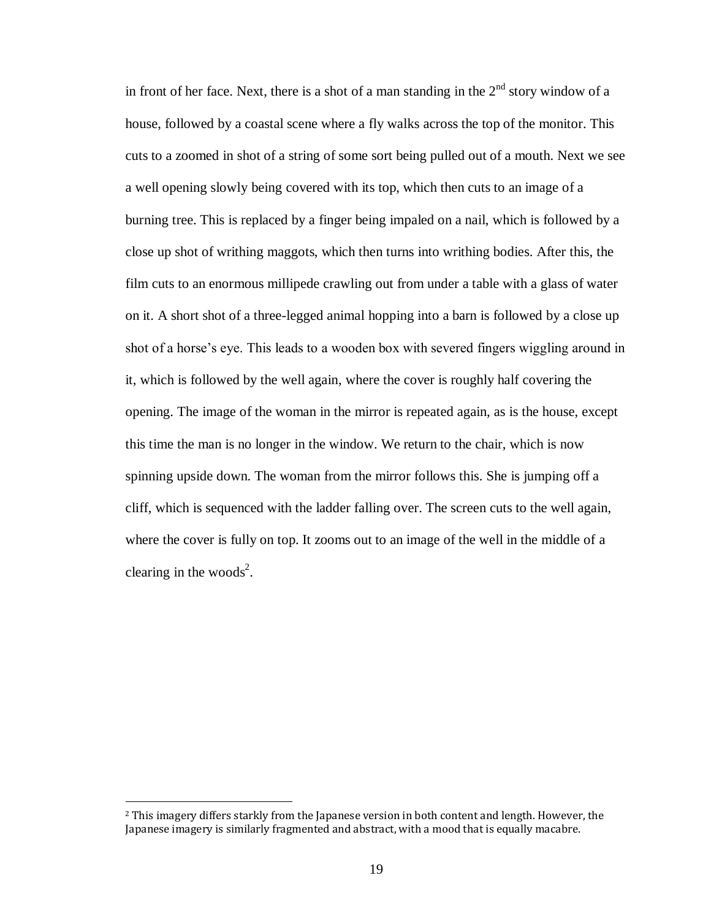in front of her face. Next, there is a shot of a man standing in the  $2<sup>nd</sup>$  story window of a house, followed by a coastal scene where a fly walks across the top of the monitor. This cuts to a zoomed in shot of a string of some sort being pulled out of a mouth. Next we see a well opening slowly being covered with its top, which then cuts to an image of a burning tree. This is replaced by a finger being impaled on a nail, which is followed by a close up shot of writhing maggots, which then turns into writhing bodies. After this, the film cuts to an enormous millipede crawling out from under a table with a glass of water on it. A short shot of a three-legged animal hopping into a barn is followed by a close up shot of a horse's eye. This leads to a wooden box with severed fingers wiggling around in it, which is followed by the well again, where the cover is roughly half covering the opening. The image of the woman in the mirror is repeated again, as is the house, except this time the man is no longer in the window. We return to the chair, which is now spinning upside down. The woman from the mirror follows this. She is jumping off a cliff, which is sequenced with the ladder falling over. The screen cuts to the well again, where the cover is fully on top. It zooms out to an image of the well in the middle of a clearing in the woods<sup>2</sup>.

 $\overline{a}$ 

<sup>2</sup> This imagery differs starkly from the Japanese version in both content and length. However, the Japanese imagery is similarly fragmented and abstract, with a mood that is equally macabre.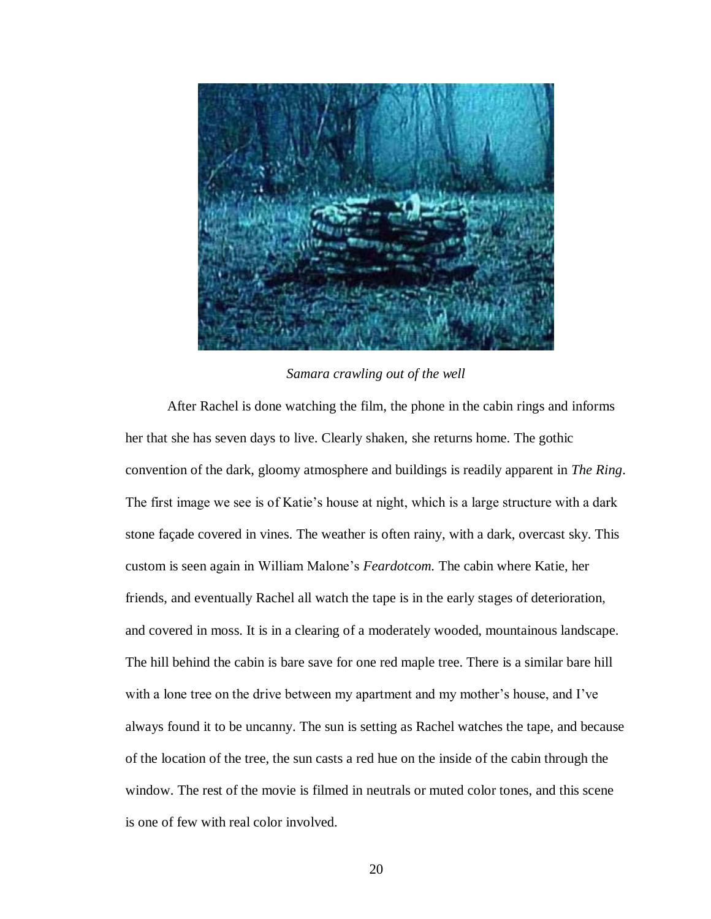

*Samara crawling out of the well*

After Rachel is done watching the film, the phone in the cabin rings and informs her that she has seven days to live. Clearly shaken, she returns home. The gothic convention of the dark, gloomy atmosphere and buildings is readily apparent in *The Ring*. The first image we see is of Katie's house at night, which is a large structure with a dark stone façade covered in vines. The weather is often rainy, with a dark, overcast sky. This custom is seen again in William Malone's *Feardotcom.* The cabin where Katie, her friends, and eventually Rachel all watch the tape is in the early stages of deterioration, and covered in moss. It is in a clearing of a moderately wooded, mountainous landscape. The hill behind the cabin is bare save for one red maple tree. There is a similar bare hill with a lone tree on the drive between my apartment and my mother's house, and I've always found it to be uncanny. The sun is setting as Rachel watches the tape, and because of the location of the tree, the sun casts a red hue on the inside of the cabin through the window. The rest of the movie is filmed in neutrals or muted color tones, and this scene is one of few with real color involved.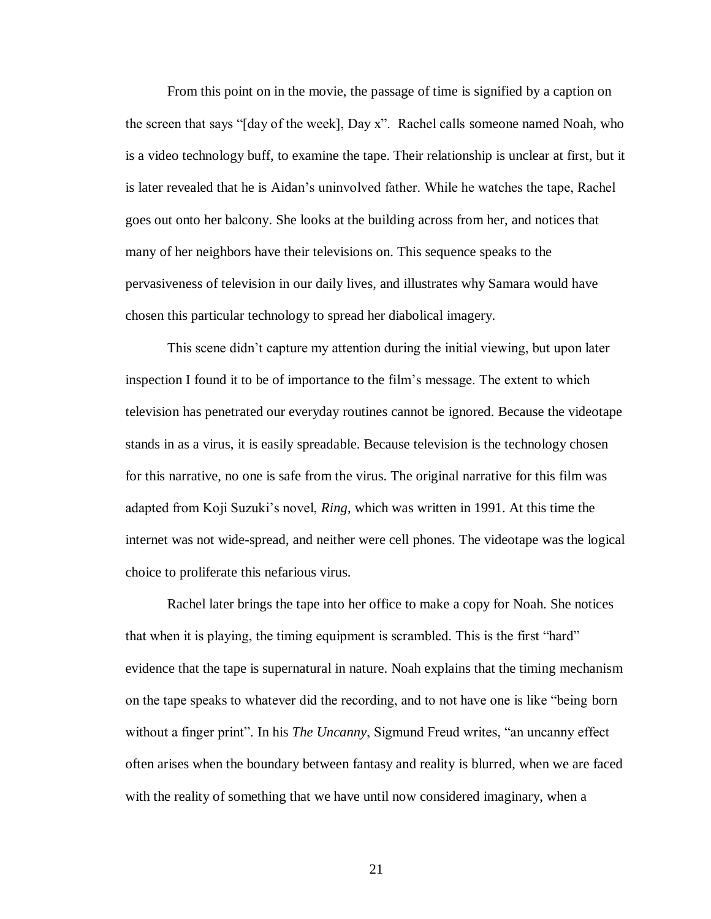From this point on in the movie, the passage of time is signified by a caption on the screen that says "[day of the week], Day x". Rachel calls someone named Noah, who is a video technology buff, to examine the tape. Their relationship is unclear at first, but it is later revealed that he is Aidan's uninvolved father. While he watches the tape, Rachel goes out onto her balcony. She looks at the building across from her, and notices that many of her neighbors have their televisions on. This sequence speaks to the pervasiveness of television in our daily lives, and illustrates why Samara would have chosen this particular technology to spread her diabolical imagery.

This scene didn't capture my attention during the initial viewing, but upon later inspection I found it to be of importance to the film's message. The extent to which television has penetrated our everyday routines cannot be ignored. Because the videotape stands in as a virus, it is easily spreadable. Because television is the technology chosen for this narrative, no one is safe from the virus. The original narrative for this film was adapted from Koji Suzuki's novel, *Ring*, which was written in 1991. At this time the internet was not wide-spread, and neither were cell phones. The videotape was the logical choice to proliferate this nefarious virus.

Rachel later brings the tape into her office to make a copy for Noah. She notices that when it is playing, the timing equipment is scrambled. This is the first "hard" evidence that the tape is supernatural in nature. Noah explains that the timing mechanism on the tape speaks to whatever did the recording, and to not have one is like "being born without a finger print". In his *The Uncanny*, Sigmund Freud writes, "an uncanny effect often arises when the boundary between fantasy and reality is blurred, when we are faced with the reality of something that we have until now considered imaginary, when a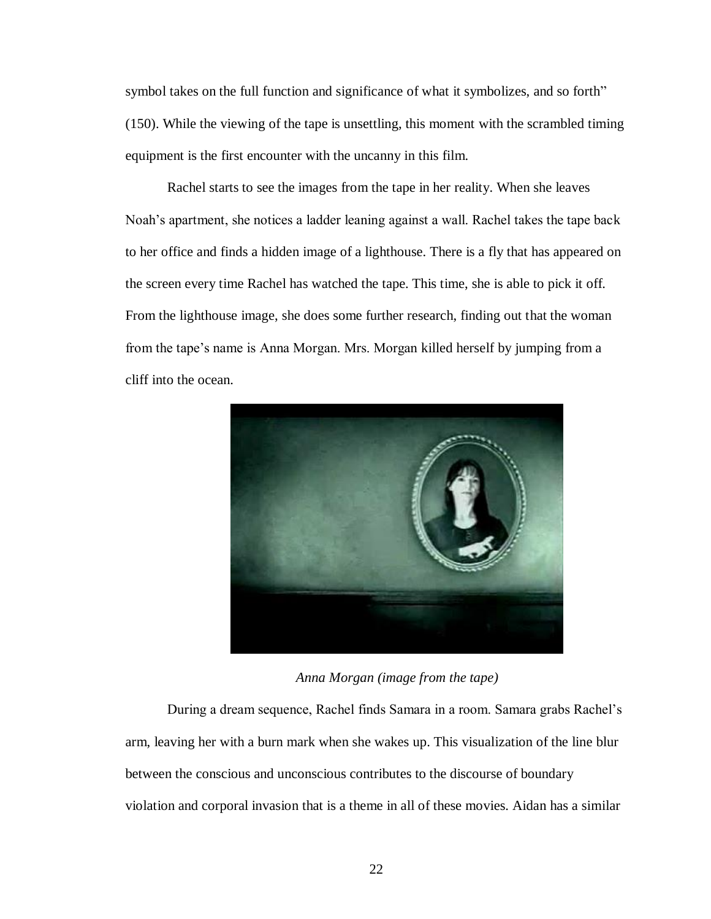symbol takes on the full function and significance of what it symbolizes, and so forth" (150). While the viewing of the tape is unsettling, this moment with the scrambled timing equipment is the first encounter with the uncanny in this film.

Rachel starts to see the images from the tape in her reality. When she leaves Noah's apartment, she notices a ladder leaning against a wall. Rachel takes the tape back to her office and finds a hidden image of a lighthouse. There is a fly that has appeared on the screen every time Rachel has watched the tape. This time, she is able to pick it off. From the lighthouse image, she does some further research, finding out that the woman from the tape's name is Anna Morgan. Mrs. Morgan killed herself by jumping from a cliff into the ocean.



*Anna Morgan (image from the tape)*

During a dream sequence, Rachel finds Samara in a room. Samara grabs Rachel's arm, leaving her with a burn mark when she wakes up. This visualization of the line blur between the conscious and unconscious contributes to the discourse of boundary violation and corporal invasion that is a theme in all of these movies. Aidan has a similar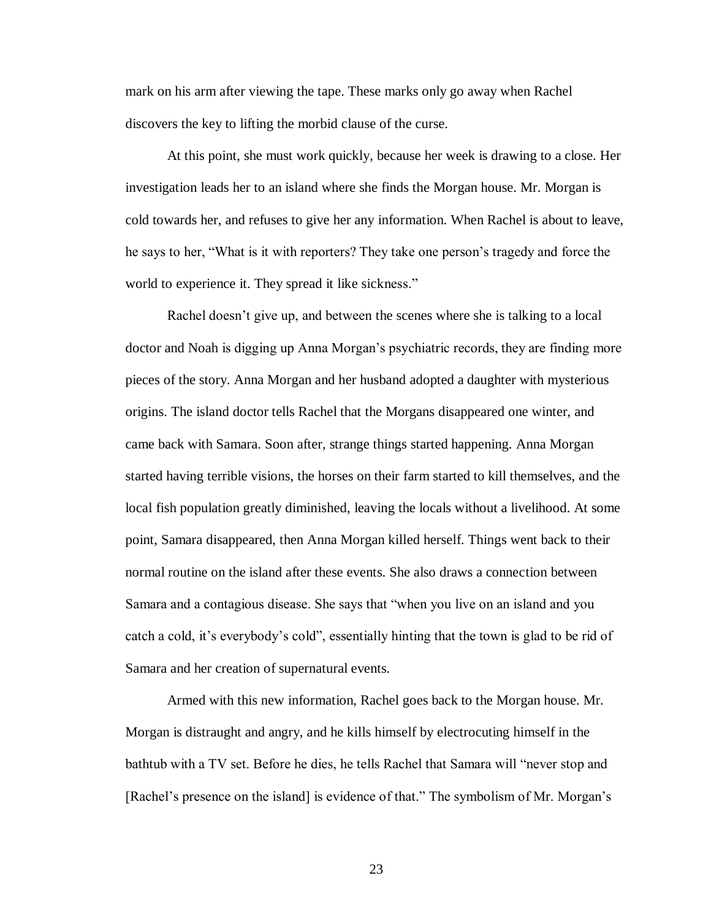mark on his arm after viewing the tape. These marks only go away when Rachel discovers the key to lifting the morbid clause of the curse.

At this point, she must work quickly, because her week is drawing to a close. Her investigation leads her to an island where she finds the Morgan house. Mr. Morgan is cold towards her, and refuses to give her any information. When Rachel is about to leave, he says to her, "What is it with reporters? They take one person's tragedy and force the world to experience it. They spread it like sickness."

Rachel doesn't give up, and between the scenes where she is talking to a local doctor and Noah is digging up Anna Morgan's psychiatric records, they are finding more pieces of the story. Anna Morgan and her husband adopted a daughter with mysterious origins. The island doctor tells Rachel that the Morgans disappeared one winter, and came back with Samara. Soon after, strange things started happening. Anna Morgan started having terrible visions, the horses on their farm started to kill themselves, and the local fish population greatly diminished, leaving the locals without a livelihood. At some point, Samara disappeared, then Anna Morgan killed herself. Things went back to their normal routine on the island after these events. She also draws a connection between Samara and a contagious disease. She says that "when you live on an island and you catch a cold, it's everybody's cold", essentially hinting that the town is glad to be rid of Samara and her creation of supernatural events.

Armed with this new information, Rachel goes back to the Morgan house. Mr. Morgan is distraught and angry, and he kills himself by electrocuting himself in the bathtub with a TV set. Before he dies, he tells Rachel that Samara will "never stop and [Rachel's presence on the island] is evidence of that." The symbolism of Mr. Morgan's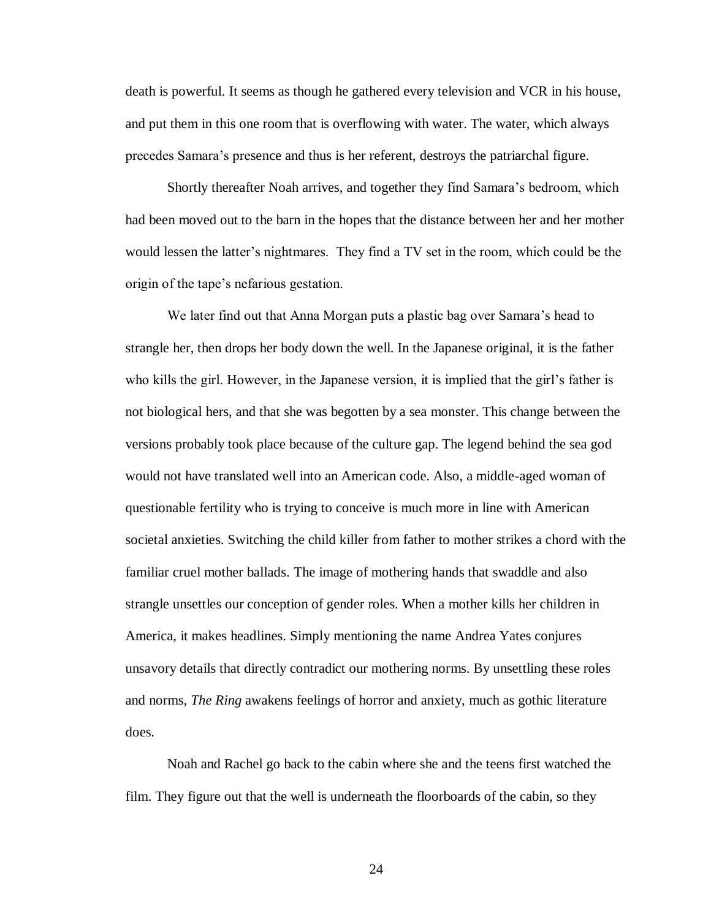death is powerful. It seems as though he gathered every television and VCR in his house, and put them in this one room that is overflowing with water. The water, which always precedes Samara's presence and thus is her referent, destroys the patriarchal figure.

Shortly thereafter Noah arrives, and together they find Samara's bedroom, which had been moved out to the barn in the hopes that the distance between her and her mother would lessen the latter's nightmares. They find a TV set in the room, which could be the origin of the tape's nefarious gestation.

We later find out that Anna Morgan puts a plastic bag over Samara's head to strangle her, then drops her body down the well. In the Japanese original, it is the father who kills the girl. However, in the Japanese version, it is implied that the girl's father is not biological hers, and that she was begotten by a sea monster. This change between the versions probably took place because of the culture gap. The legend behind the sea god would not have translated well into an American code. Also, a middle-aged woman of questionable fertility who is trying to conceive is much more in line with American societal anxieties. Switching the child killer from father to mother strikes a chord with the familiar cruel mother ballads. The image of mothering hands that swaddle and also strangle unsettles our conception of gender roles. When a mother kills her children in America, it makes headlines. Simply mentioning the name Andrea Yates conjures unsavory details that directly contradict our mothering norms. By unsettling these roles and norms, *The Ring* awakens feelings of horror and anxiety, much as gothic literature does.

Noah and Rachel go back to the cabin where she and the teens first watched the film. They figure out that the well is underneath the floorboards of the cabin, so they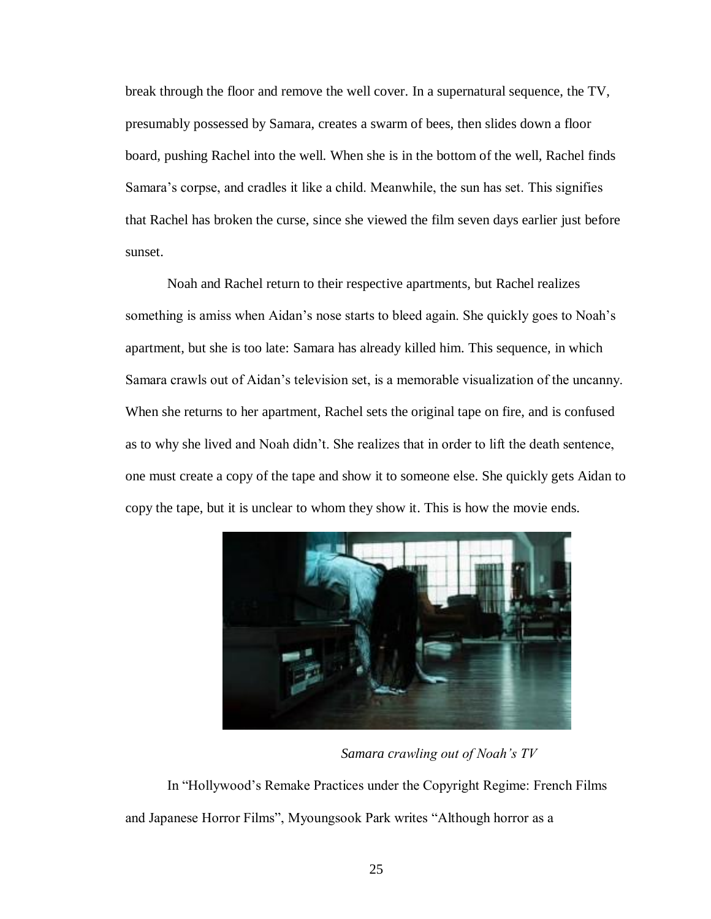break through the floor and remove the well cover. In a supernatural sequence, the TV, presumably possessed by Samara, creates a swarm of bees, then slides down a floor board, pushing Rachel into the well. When she is in the bottom of the well, Rachel finds Samara's corpse, and cradles it like a child. Meanwhile, the sun has set. This signifies that Rachel has broken the curse, since she viewed the film seven days earlier just before sunset.

Noah and Rachel return to their respective apartments, but Rachel realizes something is amiss when Aidan's nose starts to bleed again. She quickly goes to Noah's apartment, but she is too late: Samara has already killed him. This sequence, in which Samara crawls out of Aidan's television set, is a memorable visualization of the uncanny. When she returns to her apartment, Rachel sets the original tape on fire, and is confused as to why she lived and Noah didn't. She realizes that in order to lift the death sentence, one must create a copy of the tape and show it to someone else. She quickly gets Aidan to copy the tape, but it is unclear to whom they show it. This is how the movie ends.



*Samara crawling out of Noah's TV*

In "Hollywood's Remake Practices under the Copyright Regime: French Films and Japanese Horror Films", Myoungsook Park writes "Although horror as a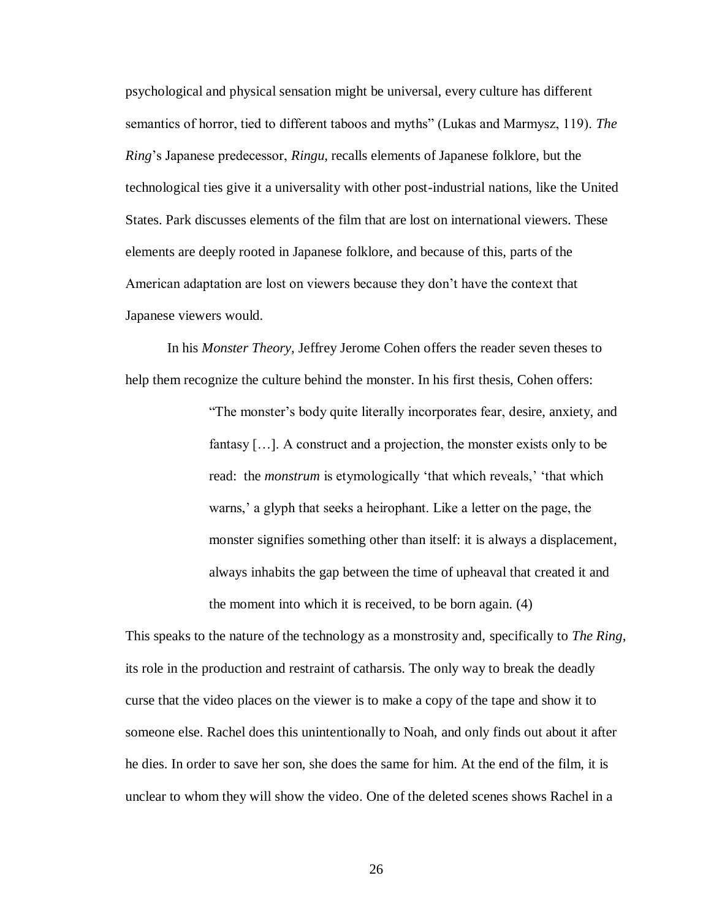psychological and physical sensation might be universal, every culture has different semantics of horror, tied to different taboos and myths" (Lukas and Marmysz, 119). *The Ring*'s Japanese predecessor, *Ringu*, recalls elements of Japanese folklore, but the technological ties give it a universality with other post-industrial nations, like the United States. Park discusses elements of the film that are lost on international viewers. These elements are deeply rooted in Japanese folklore, and because of this, parts of the American adaptation are lost on viewers because they don't have the context that Japanese viewers would.

In his *Monster Theory*, Jeffrey Jerome Cohen offers the reader seven theses to help them recognize the culture behind the monster. In his first thesis, Cohen offers:

> "The monster's body quite literally incorporates fear, desire, anxiety, and fantasy […]. A construct and a projection, the monster exists only to be read: the *monstrum* is etymologically 'that which reveals,' 'that which warns,' a glyph that seeks a heirophant. Like a letter on the page, the monster signifies something other than itself: it is always a displacement, always inhabits the gap between the time of upheaval that created it and the moment into which it is received, to be born again. (4)

This speaks to the nature of the technology as a monstrosity and, specifically to *The Ring*, its role in the production and restraint of catharsis. The only way to break the deadly curse that the video places on the viewer is to make a copy of the tape and show it to someone else. Rachel does this unintentionally to Noah, and only finds out about it after he dies. In order to save her son, she does the same for him. At the end of the film, it is unclear to whom they will show the video. One of the deleted scenes shows Rachel in a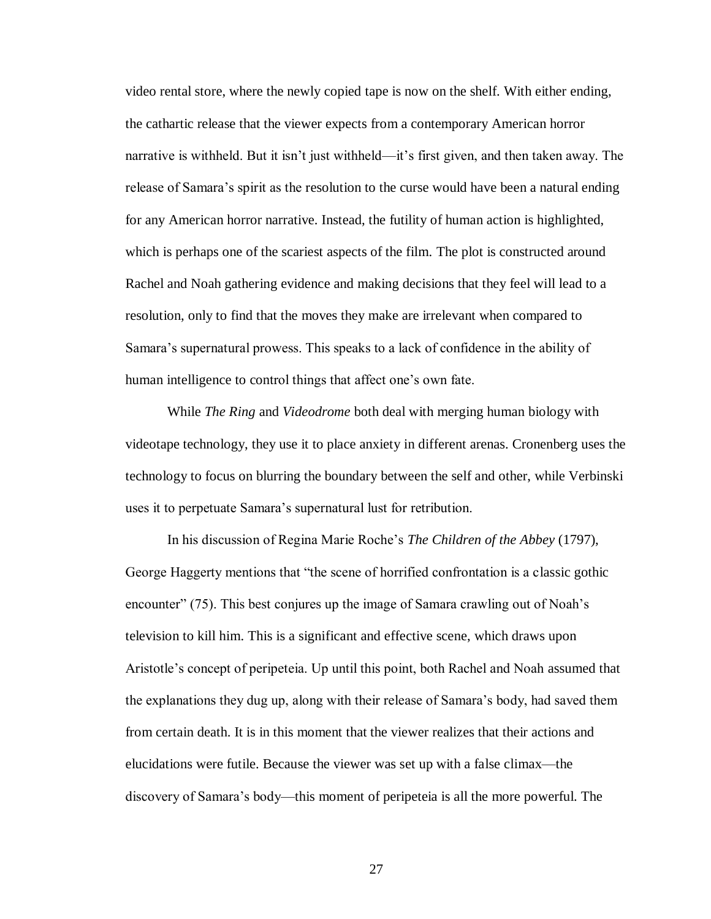video rental store, where the newly copied tape is now on the shelf. With either ending, the cathartic release that the viewer expects from a contemporary American horror narrative is withheld. But it isn't just withheld—it's first given, and then taken away. The release of Samara's spirit as the resolution to the curse would have been a natural ending for any American horror narrative. Instead, the futility of human action is highlighted, which is perhaps one of the scariest aspects of the film. The plot is constructed around Rachel and Noah gathering evidence and making decisions that they feel will lead to a resolution, only to find that the moves they make are irrelevant when compared to Samara's supernatural prowess. This speaks to a lack of confidence in the ability of human intelligence to control things that affect one's own fate.

While *The Ring* and *Videodrome* both deal with merging human biology with videotape technology, they use it to place anxiety in different arenas. Cronenberg uses the technology to focus on blurring the boundary between the self and other, while Verbinski uses it to perpetuate Samara's supernatural lust for retribution.

In his discussion of Regina Marie Roche's *The Children of the Abbey* (1797), George Haggerty mentions that "the scene of horrified confrontation is a classic gothic encounter" (75). This best conjures up the image of Samara crawling out of Noah's television to kill him. This is a significant and effective scene, which draws upon Aristotle's concept of peripeteia. Up until this point, both Rachel and Noah assumed that the explanations they dug up, along with their release of Samara's body, had saved them from certain death. It is in this moment that the viewer realizes that their actions and elucidations were futile. Because the viewer was set up with a false climax—the discovery of Samara's body—this moment of peripeteia is all the more powerful. The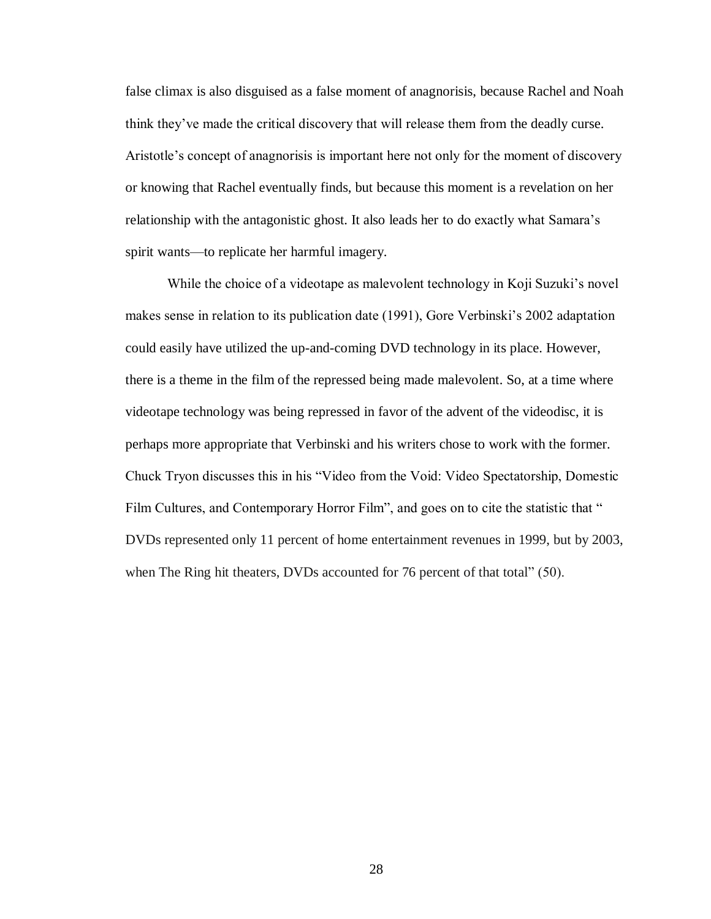false climax is also disguised as a false moment of anagnorisis, because Rachel and Noah think they've made the critical discovery that will release them from the deadly curse. Aristotle's concept of anagnorisis is important here not only for the moment of discovery or knowing that Rachel eventually finds, but because this moment is a revelation on her relationship with the antagonistic ghost. It also leads her to do exactly what Samara's spirit wants—to replicate her harmful imagery.

While the choice of a videotape as malevolent technology in Koji Suzuki's novel makes sense in relation to its publication date (1991), Gore Verbinski's 2002 adaptation could easily have utilized the up-and-coming DVD technology in its place. However, there is a theme in the film of the repressed being made malevolent. So, at a time where videotape technology was being repressed in favor of the advent of the videodisc, it is perhaps more appropriate that Verbinski and his writers chose to work with the former. Chuck Tryon discusses this in his "Video from the Void: Video Spectatorship, Domestic Film Cultures, and Contemporary Horror Film", and goes on to cite the statistic that " DVDs represented only 11 percent of home entertainment revenues in 1999, but by 2003, when The Ring hit theaters, DVDs accounted for 76 percent of that total" (50).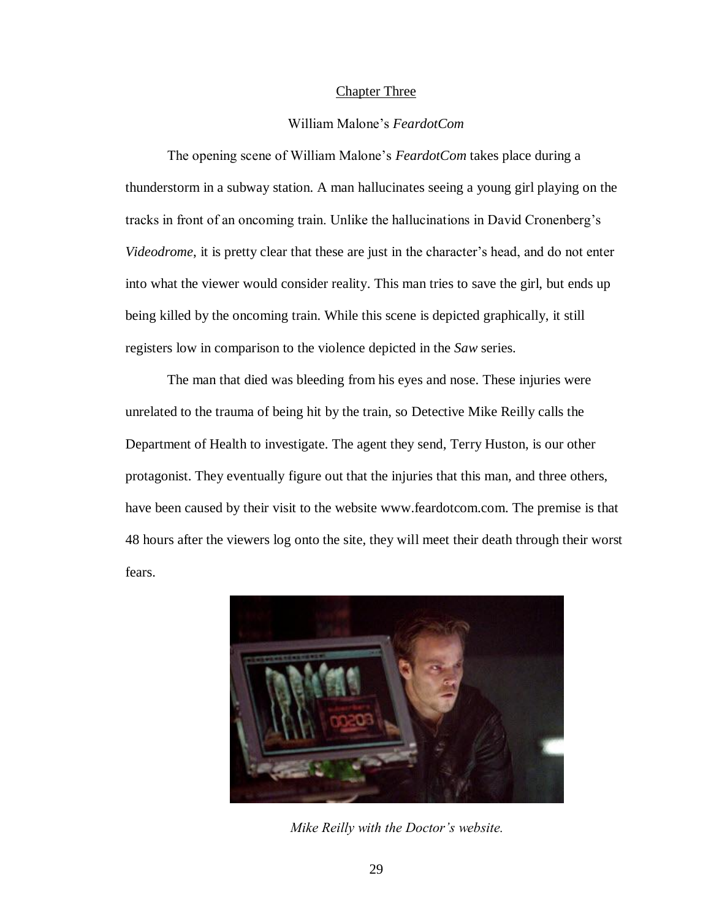#### Chapter Three

#### William Malone's *FeardotCom*

The opening scene of William Malone's *FeardotCom* takes place during a thunderstorm in a subway station. A man hallucinates seeing a young girl playing on the tracks in front of an oncoming train. Unlike the hallucinations in David Cronenberg's *Videodrome*, it is pretty clear that these are just in the character's head, and do not enter into what the viewer would consider reality. This man tries to save the girl, but ends up being killed by the oncoming train. While this scene is depicted graphically, it still registers low in comparison to the violence depicted in the *Saw* series.

The man that died was bleeding from his eyes and nose. These injuries were unrelated to the trauma of being hit by the train, so Detective Mike Reilly calls the Department of Health to investigate. The agent they send, Terry Huston, is our other protagonist. They eventually figure out that the injuries that this man, and three others, have been caused by their visit to the website www.feardotcom.com. The premise is that 48 hours after the viewers log onto the site, they will meet their death through their worst fears.



*Mike Reilly with the Doctor's website.*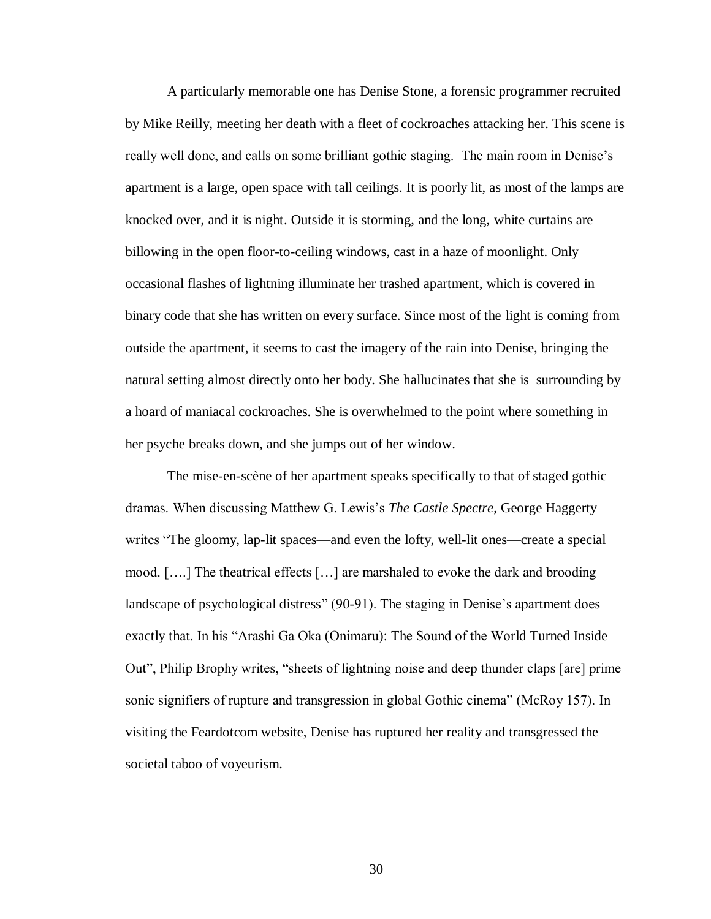A particularly memorable one has Denise Stone, a forensic programmer recruited by Mike Reilly, meeting her death with a fleet of cockroaches attacking her. This scene is really well done, and calls on some brilliant gothic staging. The main room in Denise's apartment is a large, open space with tall ceilings. It is poorly lit, as most of the lamps are knocked over, and it is night. Outside it is storming, and the long, white curtains are billowing in the open floor-to-ceiling windows, cast in a haze of moonlight. Only occasional flashes of lightning illuminate her trashed apartment, which is covered in binary code that she has written on every surface. Since most of the light is coming from outside the apartment, it seems to cast the imagery of the rain into Denise, bringing the natural setting almost directly onto her body. She hallucinates that she is surrounding by a hoard of maniacal cockroaches. She is overwhelmed to the point where something in her psyche breaks down, and she jumps out of her window.

The mise-en-scène of her apartment speaks specifically to that of staged gothic dramas. When discussing Matthew G. Lewis's *The Castle Spectre*, George Haggerty writes "The gloomy, lap-lit spaces—and even the lofty, well-lit ones—create a special mood. [….] The theatrical effects […] are marshaled to evoke the dark and brooding landscape of psychological distress" (90-91). The staging in Denise's apartment does exactly that. In his "Arashi Ga Oka (Onimaru): The Sound of the World Turned Inside Out", Philip Brophy writes, "sheets of lightning noise and deep thunder claps [are] prime sonic signifiers of rupture and transgression in global Gothic cinema" (McRoy 157). In visiting the Feardotcom website, Denise has ruptured her reality and transgressed the societal taboo of voyeurism.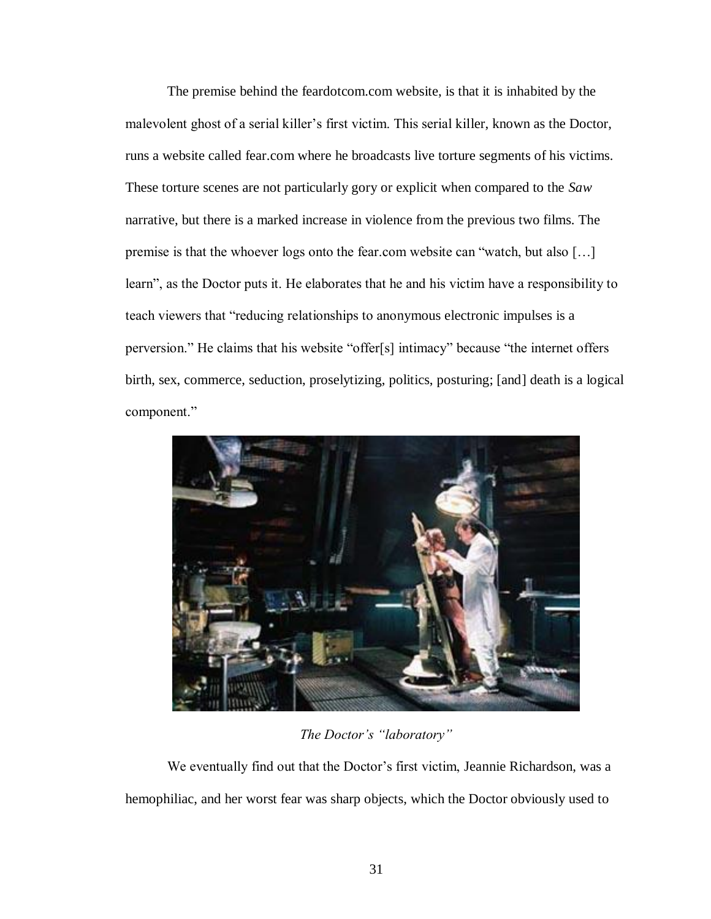The premise behind the feardotcom.com website, is that it is inhabited by the malevolent ghost of a serial killer's first victim. This serial killer, known as the Doctor, runs a website called fear.com where he broadcasts live torture segments of his victims. These torture scenes are not particularly gory or explicit when compared to the *Saw* narrative, but there is a marked increase in violence from the previous two films. The premise is that the whoever logs onto the fear.com website can "watch, but also […] learn", as the Doctor puts it. He elaborates that he and his victim have a responsibility to teach viewers that "reducing relationships to anonymous electronic impulses is a perversion." He claims that his website "offer[s] intimacy" because "the internet offers birth, sex, commerce, seduction, proselytizing, politics, posturing; [and] death is a logical component."



*The Doctor's "laboratory"*

We eventually find out that the Doctor's first victim, Jeannie Richardson, was a hemophiliac, and her worst fear was sharp objects, which the Doctor obviously used to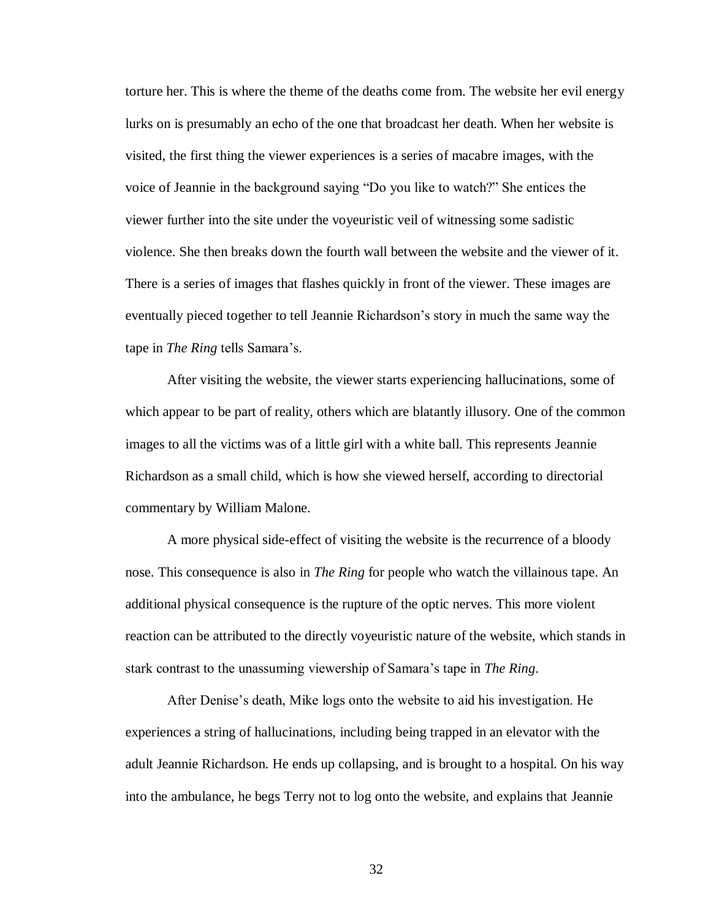torture her. This is where the theme of the deaths come from. The website her evil energy lurks on is presumably an echo of the one that broadcast her death. When her website is visited, the first thing the viewer experiences is a series of macabre images, with the voice of Jeannie in the background saying "Do you like to watch?" She entices the viewer further into the site under the voyeuristic veil of witnessing some sadistic violence. She then breaks down the fourth wall between the website and the viewer of it. There is a series of images that flashes quickly in front of the viewer. These images are eventually pieced together to tell Jeannie Richardson's story in much the same way the tape in *The Ring* tells Samara's.

After visiting the website, the viewer starts experiencing hallucinations, some of which appear to be part of reality, others which are blatantly illusory. One of the common images to all the victims was of a little girl with a white ball. This represents Jeannie Richardson as a small child, which is how she viewed herself, according to directorial commentary by William Malone.

A more physical side-effect of visiting the website is the recurrence of a bloody nose. This consequence is also in *The Ring* for people who watch the villainous tape. An additional physical consequence is the rupture of the optic nerves. This more violent reaction can be attributed to the directly voyeuristic nature of the website, which stands in stark contrast to the unassuming viewership of Samara's tape in *The Ring*.

After Denise's death, Mike logs onto the website to aid his investigation. He experiences a string of hallucinations, including being trapped in an elevator with the adult Jeannie Richardson. He ends up collapsing, and is brought to a hospital. On his way into the ambulance, he begs Terry not to log onto the website, and explains that Jeannie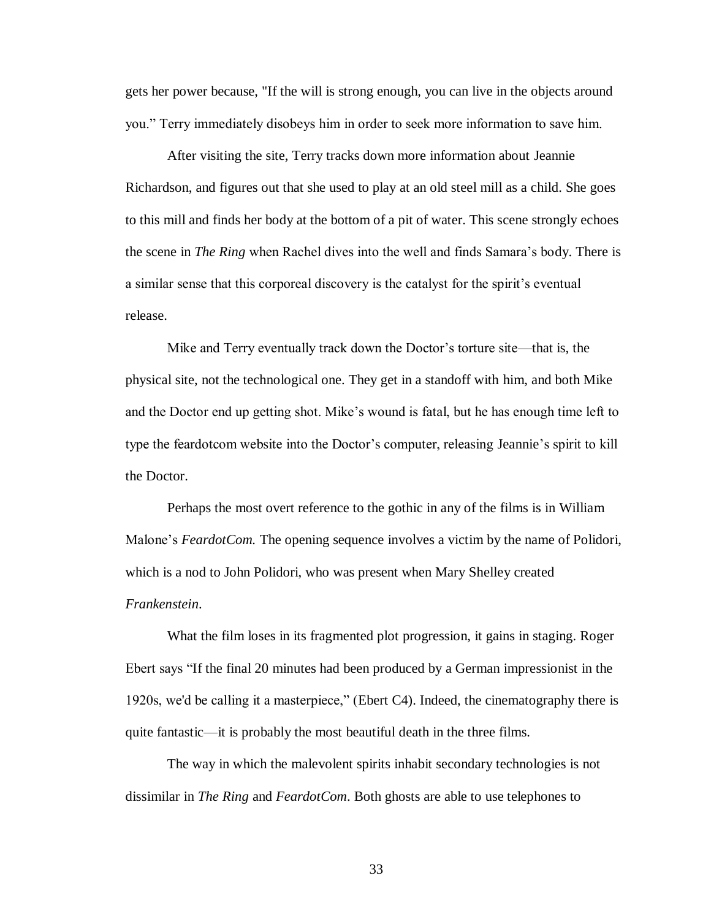gets her power because, "If the will is strong enough, you can live in the objects around you." Terry immediately disobeys him in order to seek more information to save him.

After visiting the site, Terry tracks down more information about Jeannie Richardson, and figures out that she used to play at an old steel mill as a child. She goes to this mill and finds her body at the bottom of a pit of water. This scene strongly echoes the scene in *The Ring* when Rachel dives into the well and finds Samara's body. There is a similar sense that this corporeal discovery is the catalyst for the spirit's eventual release.

Mike and Terry eventually track down the Doctor's torture site—that is, the physical site, not the technological one. They get in a standoff with him, and both Mike and the Doctor end up getting shot. Mike's wound is fatal, but he has enough time left to type the feardotcom website into the Doctor's computer, releasing Jeannie's spirit to kill the Doctor.

Perhaps the most overt reference to the gothic in any of the films is in William Malone's *FeardotCom.* The opening sequence involves a victim by the name of Polidori, which is a nod to John Polidori, who was present when Mary Shelley created *Frankenstein*.

What the film loses in its fragmented plot progression, it gains in staging. Roger Ebert says "If the final 20 minutes had been produced by a German impressionist in the 1920s, we'd be calling it a masterpiece," (Ebert C4). Indeed, the cinematography there is quite fantastic—it is probably the most beautiful death in the three films.

The way in which the malevolent spirits inhabit secondary technologies is not dissimilar in *The Ring* and *FeardotCom*. Both ghosts are able to use telephones to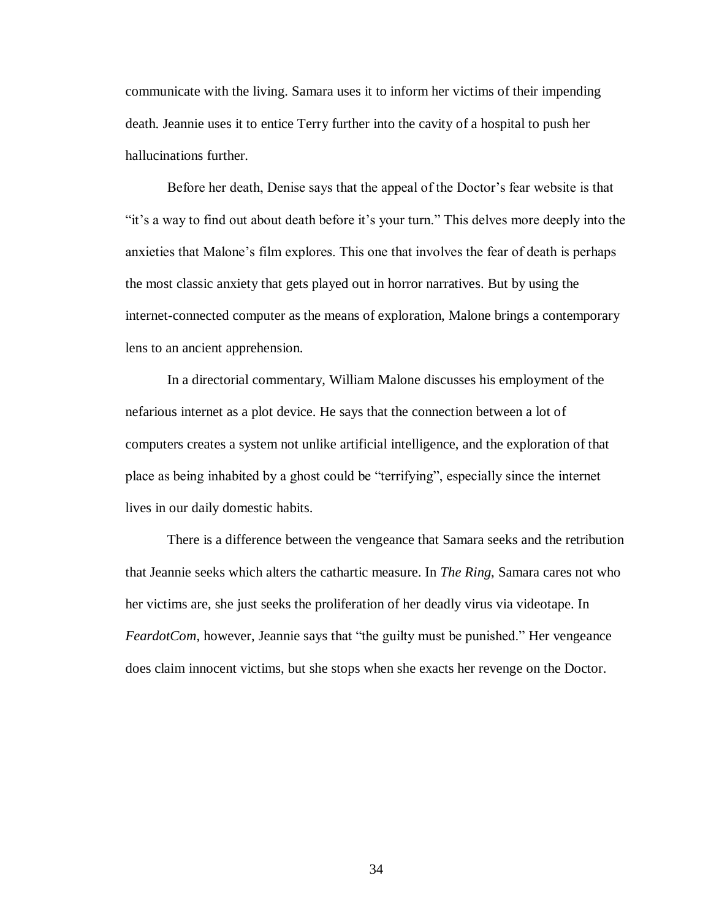communicate with the living. Samara uses it to inform her victims of their impending death. Jeannie uses it to entice Terry further into the cavity of a hospital to push her hallucinations further.

Before her death, Denise says that the appeal of the Doctor's fear website is that "it's a way to find out about death before it's your turn." This delves more deeply into the anxieties that Malone's film explores. This one that involves the fear of death is perhaps the most classic anxiety that gets played out in horror narratives. But by using the internet-connected computer as the means of exploration, Malone brings a contemporary lens to an ancient apprehension.

In a directorial commentary, William Malone discusses his employment of the nefarious internet as a plot device. He says that the connection between a lot of computers creates a system not unlike artificial intelligence, and the exploration of that place as being inhabited by a ghost could be "terrifying", especially since the internet lives in our daily domestic habits.

There is a difference between the vengeance that Samara seeks and the retribution that Jeannie seeks which alters the cathartic measure. In *The Ring*, Samara cares not who her victims are, she just seeks the proliferation of her deadly virus via videotape. In *FeardotCom*, however, Jeannie says that "the guilty must be punished." Her vengeance does claim innocent victims, but she stops when she exacts her revenge on the Doctor.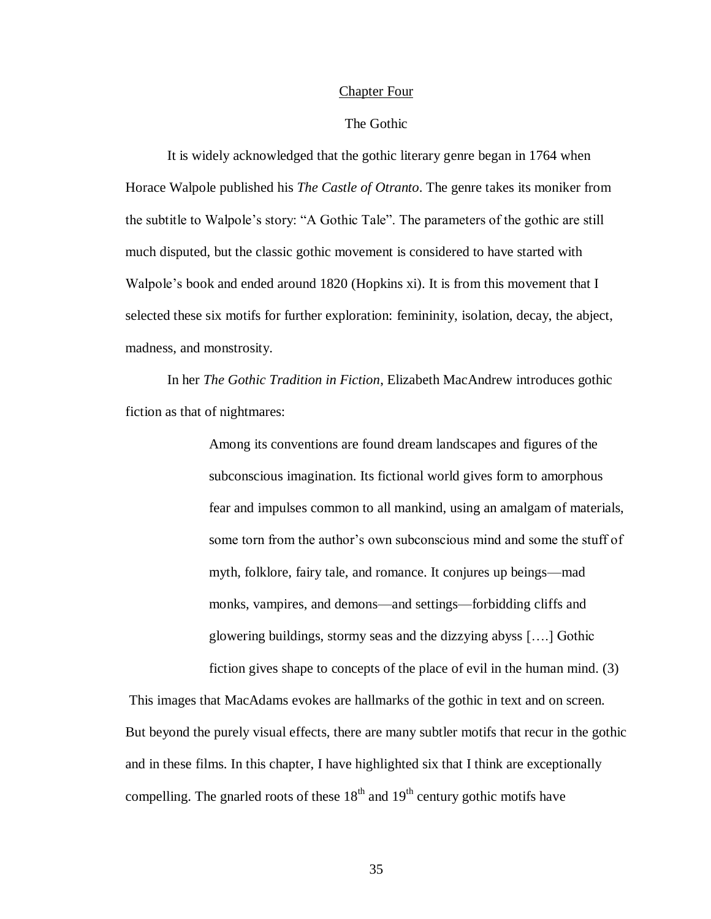#### Chapter Four

## The Gothic

It is widely acknowledged that the gothic literary genre began in 1764 when Horace Walpole published his *The Castle of Otranto*. The genre takes its moniker from the subtitle to Walpole's story: "A Gothic Tale". The parameters of the gothic are still much disputed, but the classic gothic movement is considered to have started with Walpole's book and ended around 1820 (Hopkins xi). It is from this movement that I selected these six motifs for further exploration: femininity, isolation, decay, the abject, madness, and monstrosity.

In her *The Gothic Tradition in Fiction*, Elizabeth MacAndrew introduces gothic fiction as that of nightmares:

> Among its conventions are found dream landscapes and figures of the subconscious imagination. Its fictional world gives form to amorphous fear and impulses common to all mankind, using an amalgam of materials, some torn from the author's own subconscious mind and some the stuff of myth, folklore, fairy tale, and romance. It conjures up beings—mad monks, vampires, and demons—and settings—forbidding cliffs and glowering buildings, stormy seas and the dizzying abyss [….] Gothic fiction gives shape to concepts of the place of evil in the human mind. (3)

This images that MacAdams evokes are hallmarks of the gothic in text and on screen. But beyond the purely visual effects, there are many subtler motifs that recur in the gothic and in these films. In this chapter, I have highlighted six that I think are exceptionally compelling. The gnarled roots of these  $18<sup>th</sup>$  and  $19<sup>th</sup>$  century gothic motifs have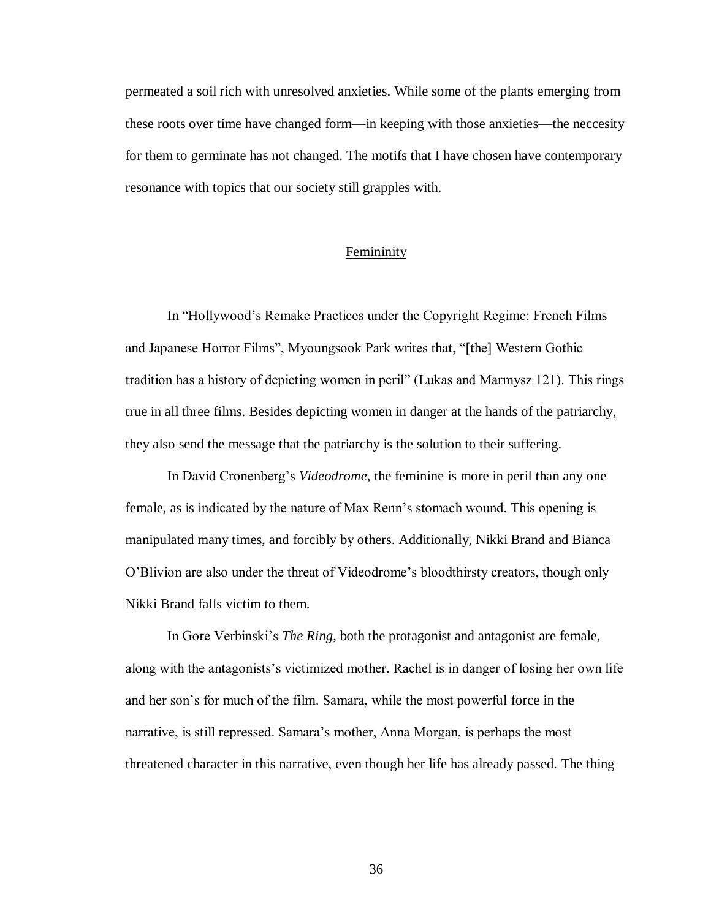permeated a soil rich with unresolved anxieties. While some of the plants emerging from these roots over time have changed form—in keeping with those anxieties—the neccesity for them to germinate has not changed. The motifs that I have chosen have contemporary resonance with topics that our society still grapples with.

## Femininity

In "Hollywood's Remake Practices under the Copyright Regime: French Films and Japanese Horror Films", Myoungsook Park writes that, "[the] Western Gothic tradition has a history of depicting women in peril" (Lukas and Marmysz 121). This rings true in all three films. Besides depicting women in danger at the hands of the patriarchy, they also send the message that the patriarchy is the solution to their suffering.

In David Cronenberg's *Videodrome*, the feminine is more in peril than any one female, as is indicated by the nature of Max Renn's stomach wound. This opening is manipulated many times, and forcibly by others. Additionally, Nikki Brand and Bianca O'Blivion are also under the threat of Videodrome's bloodthirsty creators, though only Nikki Brand falls victim to them.

In Gore Verbinski's *The Ring*, both the protagonist and antagonist are female, along with the antagonists's victimized mother. Rachel is in danger of losing her own life and her son's for much of the film. Samara, while the most powerful force in the narrative, is still repressed. Samara's mother, Anna Morgan, is perhaps the most threatened character in this narrative, even though her life has already passed. The thing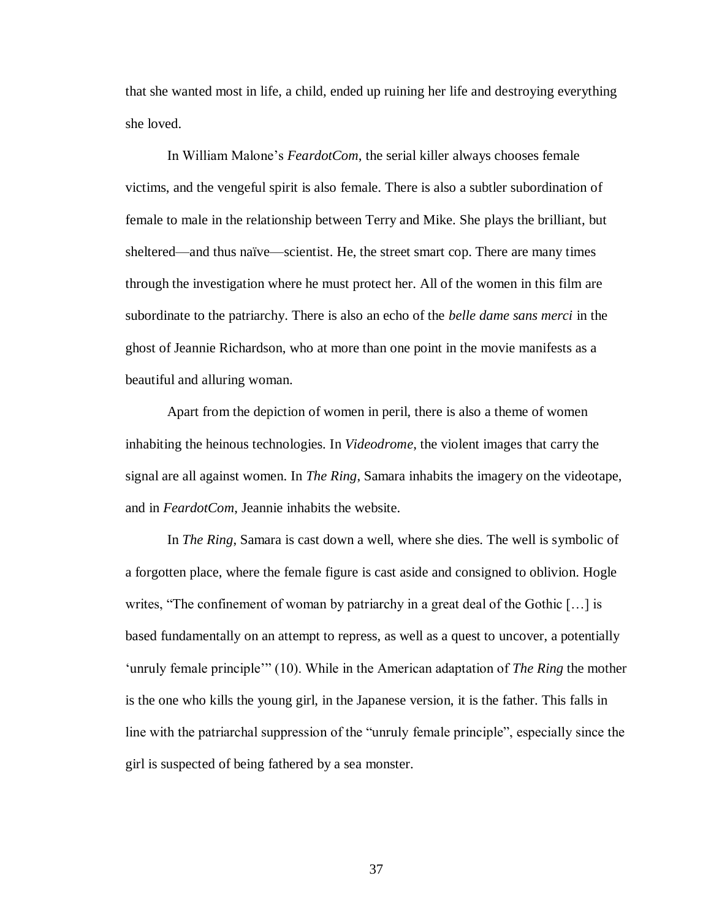that she wanted most in life, a child, ended up ruining her life and destroying everything she loved.

In William Malone's *FeardotCom*, the serial killer always chooses female victims, and the vengeful spirit is also female. There is also a subtler subordination of female to male in the relationship between Terry and Mike. She plays the brilliant, but sheltered—and thus naïve—scientist. He, the street smart cop. There are many times through the investigation where he must protect her. All of the women in this film are subordinate to the patriarchy. There is also an echo of the *belle dame sans merci* in the ghost of Jeannie Richardson, who at more than one point in the movie manifests as a beautiful and alluring woman.

Apart from the depiction of women in peril, there is also a theme of women inhabiting the heinous technologies. In *Videodrome*, the violent images that carry the signal are all against women. In *The Ring*, Samara inhabits the imagery on the videotape, and in *FeardotCom*, Jeannie inhabits the website.

In *The Ring*, Samara is cast down a well, where she dies. The well is symbolic of a forgotten place, where the female figure is cast aside and consigned to oblivion. Hogle writes, "The confinement of woman by patriarchy in a great deal of the Gothic […] is based fundamentally on an attempt to repress, as well as a quest to uncover, a potentially 'unruly female principle'" (10). While in the American adaptation of *The Ring* the mother is the one who kills the young girl, in the Japanese version, it is the father. This falls in line with the patriarchal suppression of the "unruly female principle", especially since the girl is suspected of being fathered by a sea monster.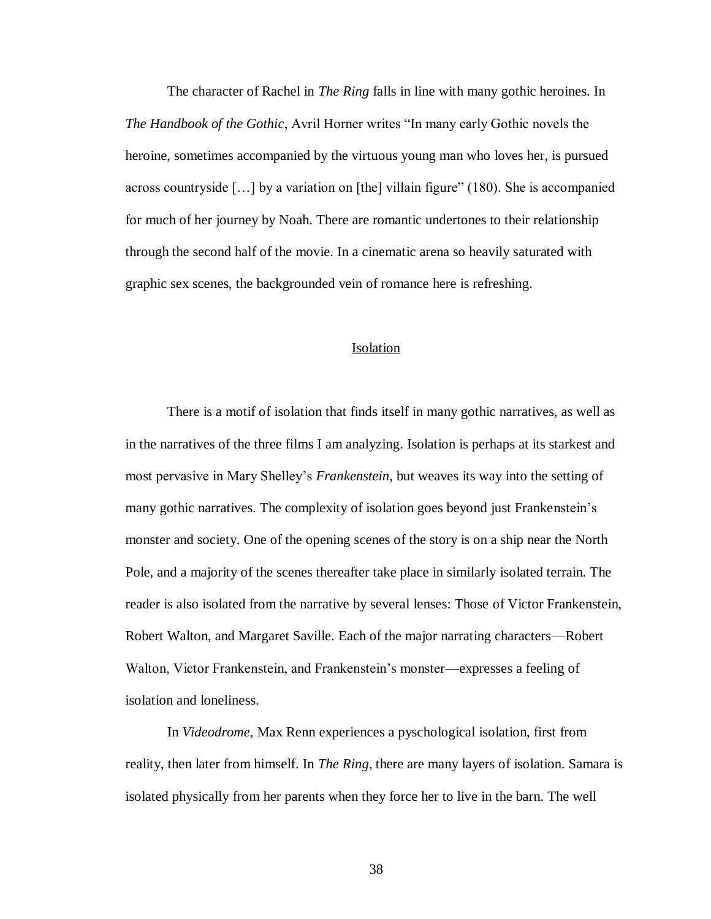The character of Rachel in *The Ring* falls in line with many gothic heroines. In *The Handbook of the Gothic*, Avril Horner writes "In many early Gothic novels the heroine, sometimes accompanied by the virtuous young man who loves her, is pursued across countryside […] by a variation on [the] villain figure" (180). She is accompanied for much of her journey by Noah. There are romantic undertones to their relationship through the second half of the movie. In a cinematic arena so heavily saturated with graphic sex scenes, the backgrounded vein of romance here is refreshing.

#### Isolation

There is a motif of isolation that finds itself in many gothic narratives, as well as in the narratives of the three films I am analyzing. Isolation is perhaps at its starkest and most pervasive in Mary Shelley's *Frankenstein*, but weaves its way into the setting of many gothic narratives. The complexity of isolation goes beyond just Frankenstein's monster and society. One of the opening scenes of the story is on a ship near the North Pole, and a majority of the scenes thereafter take place in similarly isolated terrain. The reader is also isolated from the narrative by several lenses: Those of Victor Frankenstein, Robert Walton, and Margaret Saville. Each of the major narrating characters—Robert Walton, Victor Frankenstein, and Frankenstein's monster—expresses a feeling of isolation and loneliness.

In *Videodrome*, Max Renn experiences a pyschological isolation, first from reality, then later from himself. In *The Ring*, there are many layers of isolation. Samara is isolated physically from her parents when they force her to live in the barn. The well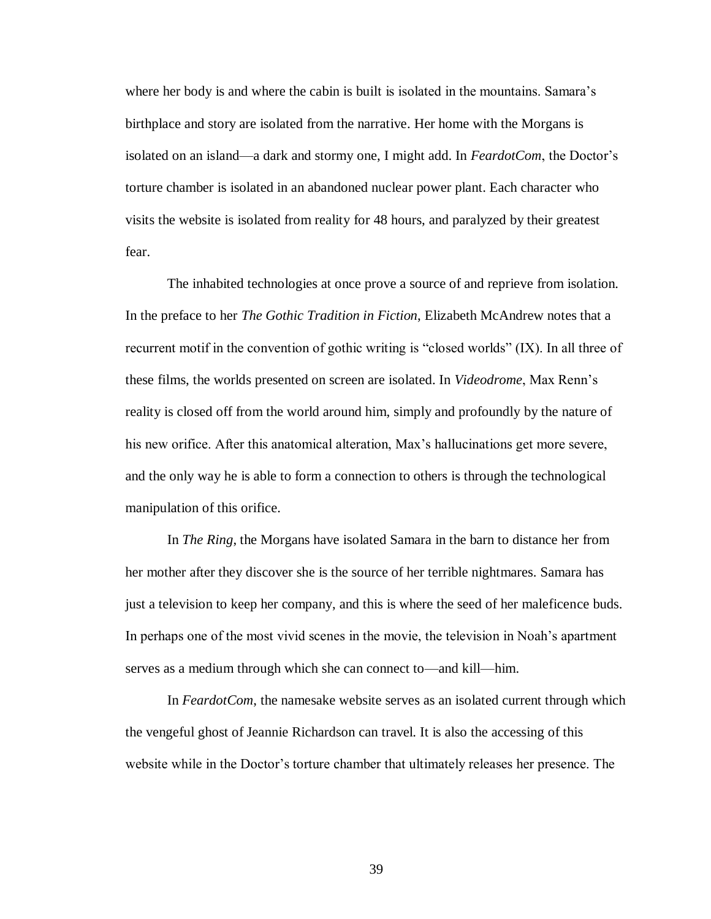where her body is and where the cabin is built is isolated in the mountains. Samara's birthplace and story are isolated from the narrative. Her home with the Morgans is isolated on an island—a dark and stormy one, I might add. In *FeardotCom*, the Doctor's torture chamber is isolated in an abandoned nuclear power plant. Each character who visits the website is isolated from reality for 48 hours, and paralyzed by their greatest fear.

The inhabited technologies at once prove a source of and reprieve from isolation. In the preface to her *The Gothic Tradition in Fiction*, Elizabeth McAndrew notes that a recurrent motif in the convention of gothic writing is "closed worlds" (IX). In all three of these films, the worlds presented on screen are isolated. In *Videodrome*, Max Renn's reality is closed off from the world around him, simply and profoundly by the nature of his new orifice. After this anatomical alteration, Max's hallucinations get more severe, and the only way he is able to form a connection to others is through the technological manipulation of this orifice.

In *The Ring*, the Morgans have isolated Samara in the barn to distance her from her mother after they discover she is the source of her terrible nightmares. Samara has just a television to keep her company, and this is where the seed of her maleficence buds. In perhaps one of the most vivid scenes in the movie, the television in Noah's apartment serves as a medium through which she can connect to—and kill—him.

In *FeardotCom*, the namesake website serves as an isolated current through which the vengeful ghost of Jeannie Richardson can travel. It is also the accessing of this website while in the Doctor's torture chamber that ultimately releases her presence. The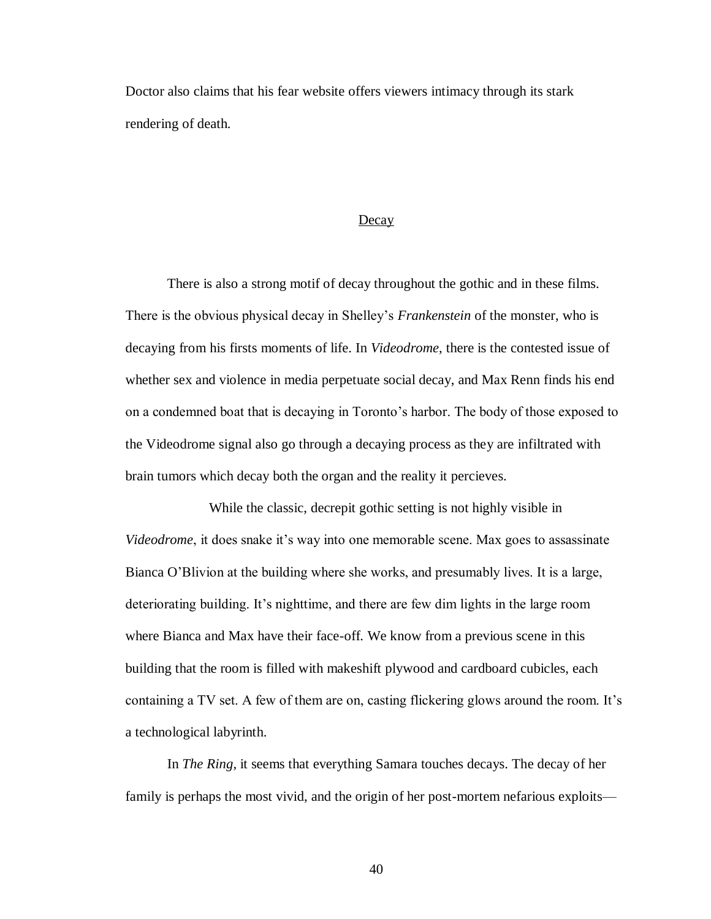Doctor also claims that his fear website offers viewers intimacy through its stark rendering of death.

#### Decay

There is also a strong motif of decay throughout the gothic and in these films. There is the obvious physical decay in Shelley's *Frankenstein* of the monster, who is decaying from his firsts moments of life. In *Videodrome*, there is the contested issue of whether sex and violence in media perpetuate social decay, and Max Renn finds his end on a condemned boat that is decaying in Toronto's harbor. The body of those exposed to the Videodrome signal also go through a decaying process as they are infiltrated with brain tumors which decay both the organ and the reality it percieves.

While the classic, decrepit gothic setting is not highly visible in *Videodrome*, it does snake it's way into one memorable scene. Max goes to assassinate Bianca O'Blivion at the building where she works, and presumably lives. It is a large, deteriorating building. It's nighttime, and there are few dim lights in the large room where Bianca and Max have their face-off. We know from a previous scene in this building that the room is filled with makeshift plywood and cardboard cubicles, each containing a TV set. A few of them are on, casting flickering glows around the room. It's a technological labyrinth.

In *The Ring*, it seems that everything Samara touches decays. The decay of her family is perhaps the most vivid, and the origin of her post-mortem nefarious exploits—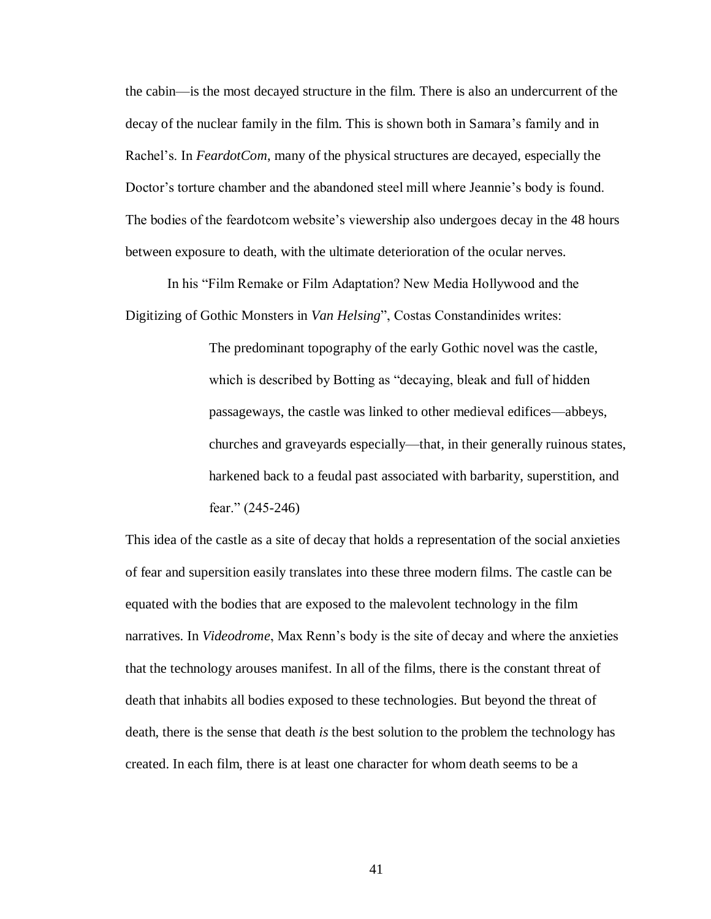the cabin—is the most decayed structure in the film. There is also an undercurrent of the decay of the nuclear family in the film. This is shown both in Samara's family and in Rachel's. In *FeardotCom*, many of the physical structures are decayed, especially the Doctor's torture chamber and the abandoned steel mill where Jeannie's body is found. The bodies of the feardotcom website's viewership also undergoes decay in the 48 hours between exposure to death, with the ultimate deterioration of the ocular nerves.

In his "Film Remake or Film Adaptation? New Media Hollywood and the Digitizing of Gothic Monsters in *Van Helsing*", Costas Constandinides writes:

> The predominant topography of the early Gothic novel was the castle, which is described by Botting as "decaying, bleak and full of hidden passageways, the castle was linked to other medieval edifices—abbeys, churches and graveyards especially—that, in their generally ruinous states, harkened back to a feudal past associated with barbarity, superstition, and fear." (245-246)

This idea of the castle as a site of decay that holds a representation of the social anxieties of fear and supersition easily translates into these three modern films. The castle can be equated with the bodies that are exposed to the malevolent technology in the film narratives. In *Videodrome*, Max Renn's body is the site of decay and where the anxieties that the technology arouses manifest. In all of the films, there is the constant threat of death that inhabits all bodies exposed to these technologies. But beyond the threat of death, there is the sense that death *is* the best solution to the problem the technology has created. In each film, there is at least one character for whom death seems to be a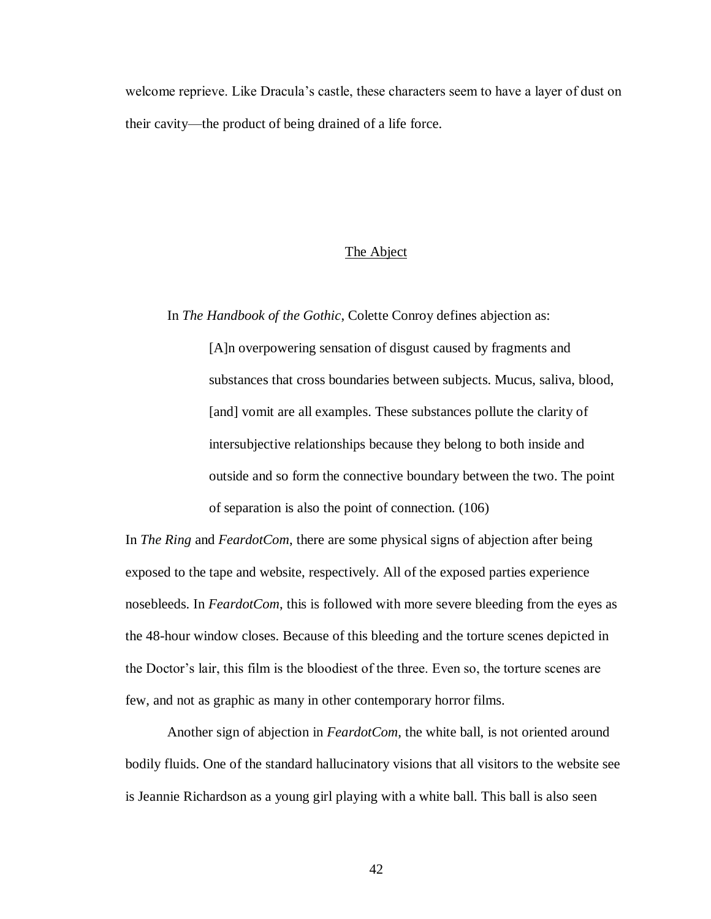welcome reprieve. Like Dracula's castle, these characters seem to have a layer of dust on their cavity—the product of being drained of a life force.

## The Abject

In *The Handbook of the Gothic*, Colette Conroy defines abjection as:

[A]n overpowering sensation of disgust caused by fragments and substances that cross boundaries between subjects. Mucus, saliva, blood, [and] vomit are all examples. These substances pollute the clarity of intersubjective relationships because they belong to both inside and outside and so form the connective boundary between the two. The point of separation is also the point of connection. (106)

In *The Ring* and *FeardotCom*, there are some physical signs of abjection after being exposed to the tape and website, respectively. All of the exposed parties experience nosebleeds. In *FeardotCom*, this is followed with more severe bleeding from the eyes as the 48-hour window closes. Because of this bleeding and the torture scenes depicted in the Doctor's lair, this film is the bloodiest of the three. Even so, the torture scenes are few, and not as graphic as many in other contemporary horror films.

Another sign of abjection in *FeardotCom*, the white ball, is not oriented around bodily fluids. One of the standard hallucinatory visions that all visitors to the website see is Jeannie Richardson as a young girl playing with a white ball. This ball is also seen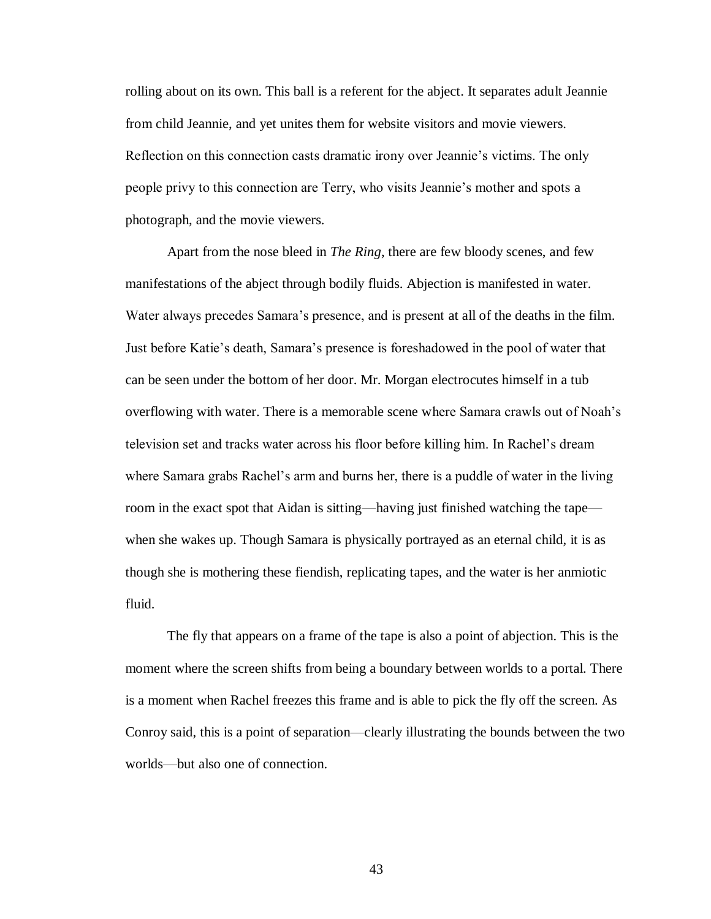rolling about on its own. This ball is a referent for the abject. It separates adult Jeannie from child Jeannie, and yet unites them for website visitors and movie viewers. Reflection on this connection casts dramatic irony over Jeannie's victims. The only people privy to this connection are Terry, who visits Jeannie's mother and spots a photograph, and the movie viewers.

Apart from the nose bleed in *The Ring*, there are few bloody scenes, and few manifestations of the abject through bodily fluids. Abjection is manifested in water. Water always precedes Samara's presence, and is present at all of the deaths in the film. Just before Katie's death, Samara's presence is foreshadowed in the pool of water that can be seen under the bottom of her door. Mr. Morgan electrocutes himself in a tub overflowing with water. There is a memorable scene where Samara crawls out of Noah's television set and tracks water across his floor before killing him. In Rachel's dream where Samara grabs Rachel's arm and burns her, there is a puddle of water in the living room in the exact spot that Aidan is sitting—having just finished watching the tape when she wakes up. Though Samara is physically portrayed as an eternal child, it is as though she is mothering these fiendish, replicating tapes, and the water is her anmiotic fluid.

The fly that appears on a frame of the tape is also a point of abjection. This is the moment where the screen shifts from being a boundary between worlds to a portal. There is a moment when Rachel freezes this frame and is able to pick the fly off the screen. As Conroy said, this is a point of separation—clearly illustrating the bounds between the two worlds—but also one of connection.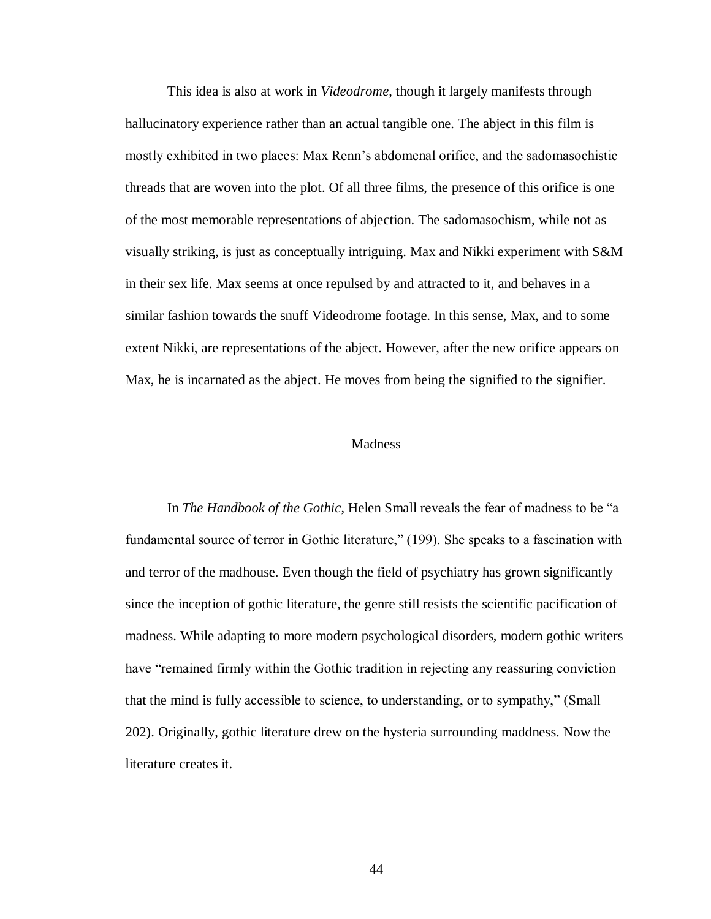This idea is also at work in *Videodrome*, though it largely manifests through hallucinatory experience rather than an actual tangible one. The abject in this film is mostly exhibited in two places: Max Renn's abdomenal orifice, and the sadomasochistic threads that are woven into the plot. Of all three films, the presence of this orifice is one of the most memorable representations of abjection. The sadomasochism, while not as visually striking, is just as conceptually intriguing. Max and Nikki experiment with S&M in their sex life. Max seems at once repulsed by and attracted to it, and behaves in a similar fashion towards the snuff Videodrome footage. In this sense, Max, and to some extent Nikki, are representations of the abject. However, after the new orifice appears on Max, he is incarnated as the abject. He moves from being the signified to the signifier.

#### Madness

In *The Handbook of the Gothic*, Helen Small reveals the fear of madness to be "a fundamental source of terror in Gothic literature," (199). She speaks to a fascination with and terror of the madhouse. Even though the field of psychiatry has grown significantly since the inception of gothic literature, the genre still resists the scientific pacification of madness. While adapting to more modern psychological disorders, modern gothic writers have "remained firmly within the Gothic tradition in rejecting any reassuring conviction that the mind is fully accessible to science, to understanding, or to sympathy," (Small 202). Originally, gothic literature drew on the hysteria surrounding maddness. Now the literature creates it.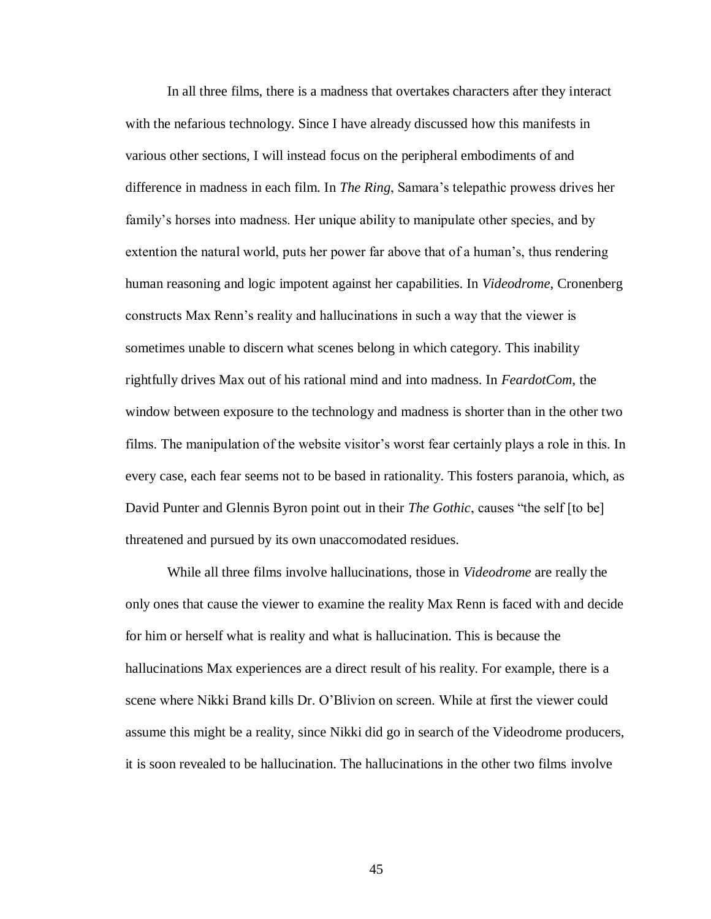In all three films, there is a madness that overtakes characters after they interact with the nefarious technology. Since I have already discussed how this manifests in various other sections, I will instead focus on the peripheral embodiments of and difference in madness in each film. In *The Ring*, Samara's telepathic prowess drives her family's horses into madness. Her unique ability to manipulate other species, and by extention the natural world, puts her power far above that of a human's, thus rendering human reasoning and logic impotent against her capabilities. In *Videodrome*, Cronenberg constructs Max Renn's reality and hallucinations in such a way that the viewer is sometimes unable to discern what scenes belong in which category. This inability rightfully drives Max out of his rational mind and into madness. In *FeardotCom*, the window between exposure to the technology and madness is shorter than in the other two films. The manipulation of the website visitor's worst fear certainly plays a role in this. In every case, each fear seems not to be based in rationality. This fosters paranoia, which, as David Punter and Glennis Byron point out in their *The Gothic*, causes "the self [to be] threatened and pursued by its own unaccomodated residues.

While all three films involve hallucinations, those in *Videodrome* are really the only ones that cause the viewer to examine the reality Max Renn is faced with and decide for him or herself what is reality and what is hallucination. This is because the hallucinations Max experiences are a direct result of his reality. For example, there is a scene where Nikki Brand kills Dr. O'Blivion on screen. While at first the viewer could assume this might be a reality, since Nikki did go in search of the Videodrome producers, it is soon revealed to be hallucination. The hallucinations in the other two films involve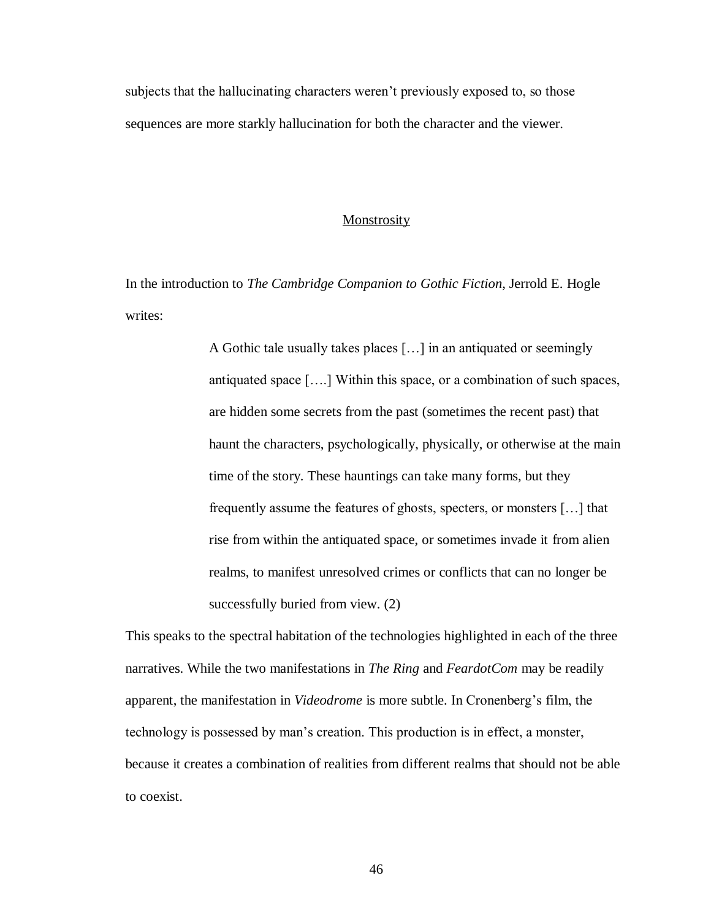subjects that the hallucinating characters weren't previously exposed to, so those sequences are more starkly hallucination for both the character and the viewer.

#### Monstrosity

In the introduction to *The Cambridge Companion to Gothic Fiction*, Jerrold E. Hogle writes:

> A Gothic tale usually takes places […] in an antiquated or seemingly antiquated space [….] Within this space, or a combination of such spaces, are hidden some secrets from the past (sometimes the recent past) that haunt the characters, psychologically, physically, or otherwise at the main time of the story. These hauntings can take many forms, but they frequently assume the features of ghosts, specters, or monsters […] that rise from within the antiquated space, or sometimes invade it from alien realms, to manifest unresolved crimes or conflicts that can no longer be successfully buried from view. (2)

This speaks to the spectral habitation of the technologies highlighted in each of the three narratives. While the two manifestations in *The Ring* and *FeardotCom* may be readily apparent, the manifestation in *Videodrome* is more subtle. In Cronenberg's film, the technology is possessed by man's creation. This production is in effect, a monster, because it creates a combination of realities from different realms that should not be able to coexist.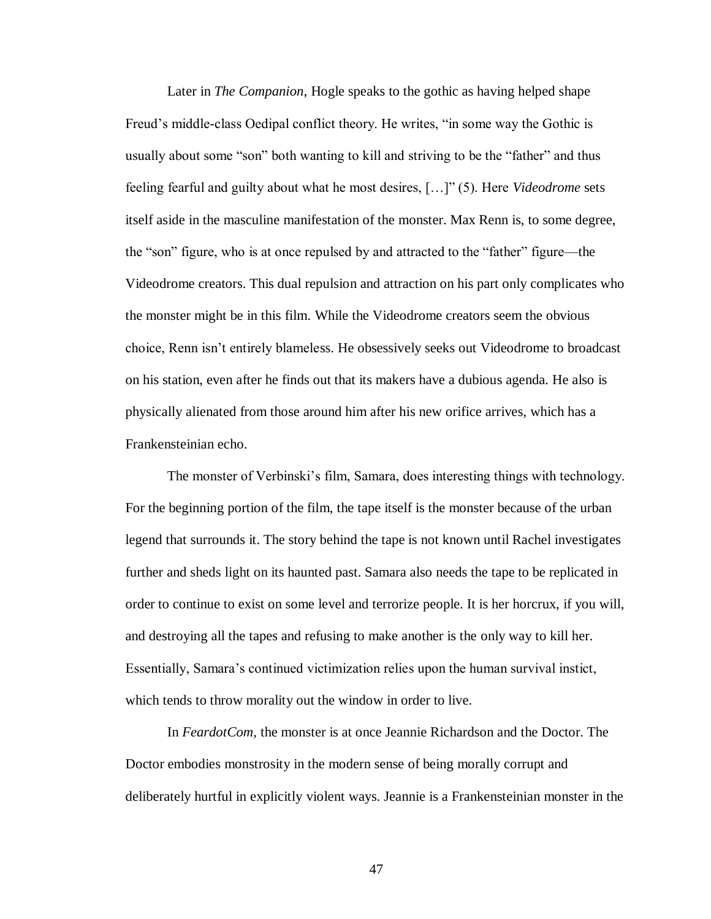Later in *The Companion*, Hogle speaks to the gothic as having helped shape Freud's middle-class Oedipal conflict theory. He writes, "in some way the Gothic is usually about some "son" both wanting to kill and striving to be the "father" and thus feeling fearful and guilty about what he most desires, […]" (5). Here *Videodrome* sets itself aside in the masculine manifestation of the monster. Max Renn is, to some degree, the "son" figure, who is at once repulsed by and attracted to the "father" figure—the Videodrome creators. This dual repulsion and attraction on his part only complicates who the monster might be in this film. While the Videodrome creators seem the obvious choice, Renn isn't entirely blameless. He obsessively seeks out Videodrome to broadcast on his station, even after he finds out that its makers have a dubious agenda. He also is physically alienated from those around him after his new orifice arrives, which has a Frankensteinian echo.

The monster of Verbinski's film, Samara, does interesting things with technology. For the beginning portion of the film, the tape itself is the monster because of the urban legend that surrounds it. The story behind the tape is not known until Rachel investigates further and sheds light on its haunted past. Samara also needs the tape to be replicated in order to continue to exist on some level and terrorize people. It is her horcrux, if you will, and destroying all the tapes and refusing to make another is the only way to kill her. Essentially, Samara's continued victimization relies upon the human survival instict, which tends to throw morality out the window in order to live.

In *FeardotCom*, the monster is at once Jeannie Richardson and the Doctor. The Doctor embodies monstrosity in the modern sense of being morally corrupt and deliberately hurtful in explicitly violent ways. Jeannie is a Frankensteinian monster in the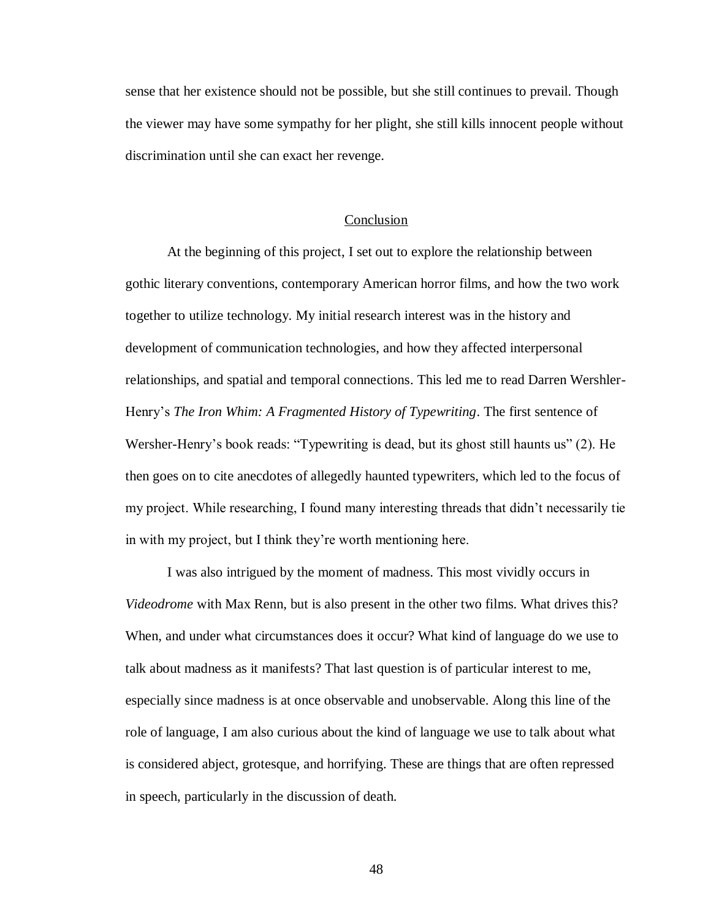sense that her existence should not be possible, but she still continues to prevail. Though the viewer may have some sympathy for her plight, she still kills innocent people without discrimination until she can exact her revenge.

#### Conclusion

At the beginning of this project, I set out to explore the relationship between gothic literary conventions, contemporary American horror films, and how the two work together to utilize technology. My initial research interest was in the history and development of communication technologies, and how they affected interpersonal relationships, and spatial and temporal connections. This led me to read Darren Wershler-Henry's *The Iron Whim: A Fragmented History of Typewriting*. The first sentence of Wersher-Henry's book reads: "Typewriting is dead, but its ghost still haunts us" (2). He then goes on to cite anecdotes of allegedly haunted typewriters, which led to the focus of my project. While researching, I found many interesting threads that didn't necessarily tie in with my project, but I think they're worth mentioning here.

I was also intrigued by the moment of madness. This most vividly occurs in *Videodrome* with Max Renn, but is also present in the other two films. What drives this? When, and under what circumstances does it occur? What kind of language do we use to talk about madness as it manifests? That last question is of particular interest to me, especially since madness is at once observable and unobservable. Along this line of the role of language, I am also curious about the kind of language we use to talk about what is considered abject, grotesque, and horrifying. These are things that are often repressed in speech, particularly in the discussion of death.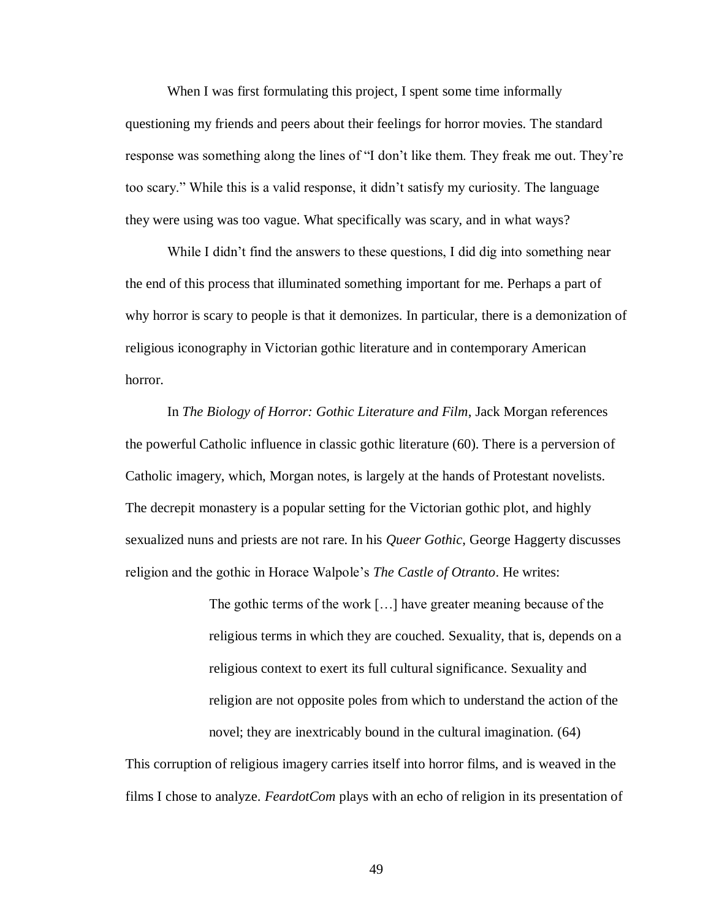When I was first formulating this project, I spent some time informally questioning my friends and peers about their feelings for horror movies. The standard response was something along the lines of "I don't like them. They freak me out. They're too scary." While this is a valid response, it didn't satisfy my curiosity. The language they were using was too vague. What specifically was scary, and in what ways?

While I didn't find the answers to these questions, I did dig into something near the end of this process that illuminated something important for me. Perhaps a part of why horror is scary to people is that it demonizes. In particular, there is a demonization of religious iconography in Victorian gothic literature and in contemporary American horror.

In *The Biology of Horror: Gothic Literature and Film*, Jack Morgan references the powerful Catholic influence in classic gothic literature (60). There is a perversion of Catholic imagery, which, Morgan notes, is largely at the hands of Protestant novelists. The decrepit monastery is a popular setting for the Victorian gothic plot, and highly sexualized nuns and priests are not rare. In his *Queer Gothic*, George Haggerty discusses religion and the gothic in Horace Walpole's *The Castle of Otranto*. He writes:

> The gothic terms of the work […] have greater meaning because of the religious terms in which they are couched. Sexuality, that is, depends on a religious context to exert its full cultural significance. Sexuality and religion are not opposite poles from which to understand the action of the novel; they are inextricably bound in the cultural imagination. (64)

This corruption of religious imagery carries itself into horror films, and is weaved in the films I chose to analyze. *FeardotCom* plays with an echo of religion in its presentation of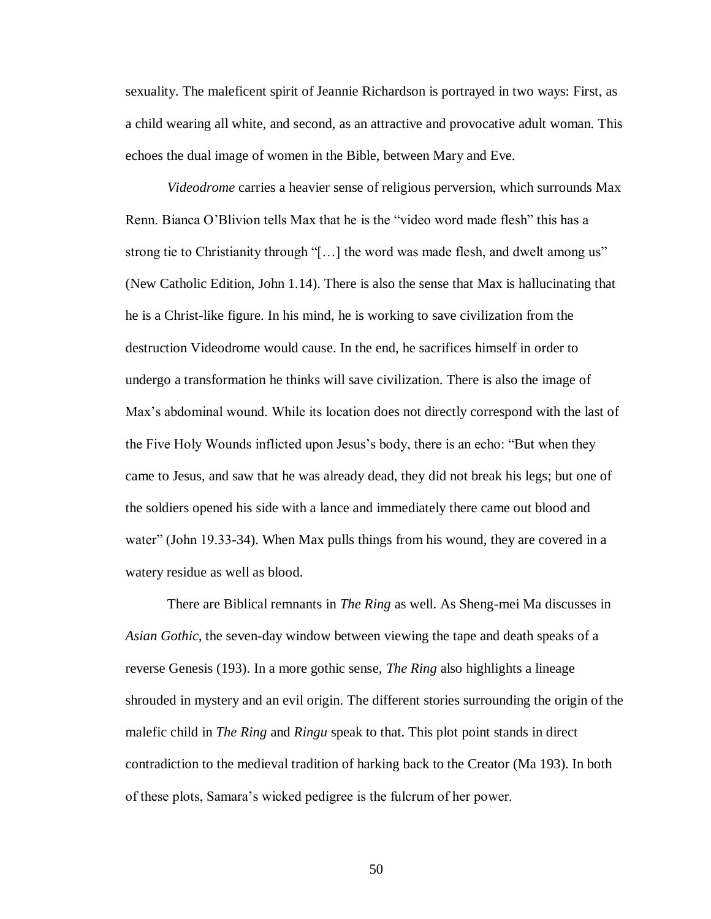sexuality. The maleficent spirit of Jeannie Richardson is portrayed in two ways: First, as a child wearing all white, and second, as an attractive and provocative adult woman. This echoes the dual image of women in the Bible, between Mary and Eve.

*Videodrome* carries a heavier sense of religious perversion, which surrounds Max Renn. Bianca O'Blivion tells Max that he is the "video word made flesh" this has a strong tie to Christianity through "[…] the word was made flesh, and dwelt among us" (New Catholic Edition, John 1.14). There is also the sense that Max is hallucinating that he is a Christ-like figure. In his mind, he is working to save civilization from the destruction Videodrome would cause. In the end, he sacrifices himself in order to undergo a transformation he thinks will save civilization. There is also the image of Max's abdominal wound. While its location does not directly correspond with the last of the Five Holy Wounds inflicted upon Jesus's body, there is an echo: "But when they came to Jesus, and saw that he was already dead, they did not break his legs; but one of the soldiers opened his side with a lance and immediately there came out blood and water" (John 19.33-34). When Max pulls things from his wound, they are covered in a watery residue as well as blood.

There are Biblical remnants in *The Ring* as well. As Sheng-mei Ma discusses in *Asian Gothic*, the seven-day window between viewing the tape and death speaks of a reverse Genesis (193). In a more gothic sense, *The Ring* also highlights a lineage shrouded in mystery and an evil origin. The different stories surrounding the origin of the malefic child in *The Ring* and *Ringu* speak to that. This plot point stands in direct contradiction to the medieval tradition of harking back to the Creator (Ma 193). In both of these plots, Samara's wicked pedigree is the fulcrum of her power.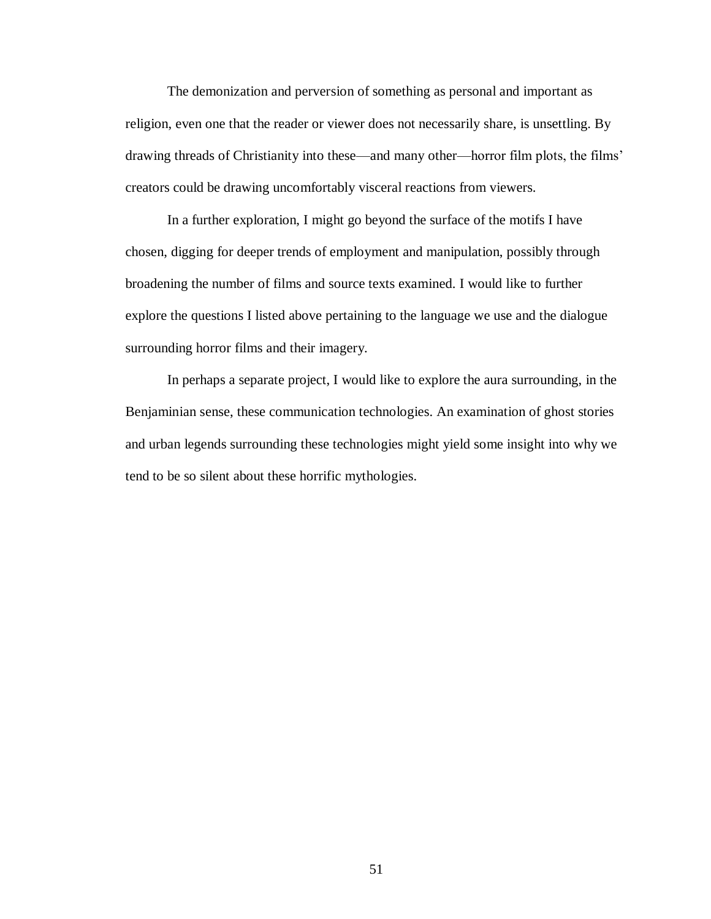The demonization and perversion of something as personal and important as religion, even one that the reader or viewer does not necessarily share, is unsettling. By drawing threads of Christianity into these—and many other—horror film plots, the films' creators could be drawing uncomfortably visceral reactions from viewers.

In a further exploration, I might go beyond the surface of the motifs I have chosen, digging for deeper trends of employment and manipulation, possibly through broadening the number of films and source texts examined. I would like to further explore the questions I listed above pertaining to the language we use and the dialogue surrounding horror films and their imagery.

In perhaps a separate project, I would like to explore the aura surrounding, in the Benjaminian sense, these communication technologies. An examination of ghost stories and urban legends surrounding these technologies might yield some insight into why we tend to be so silent about these horrific mythologies.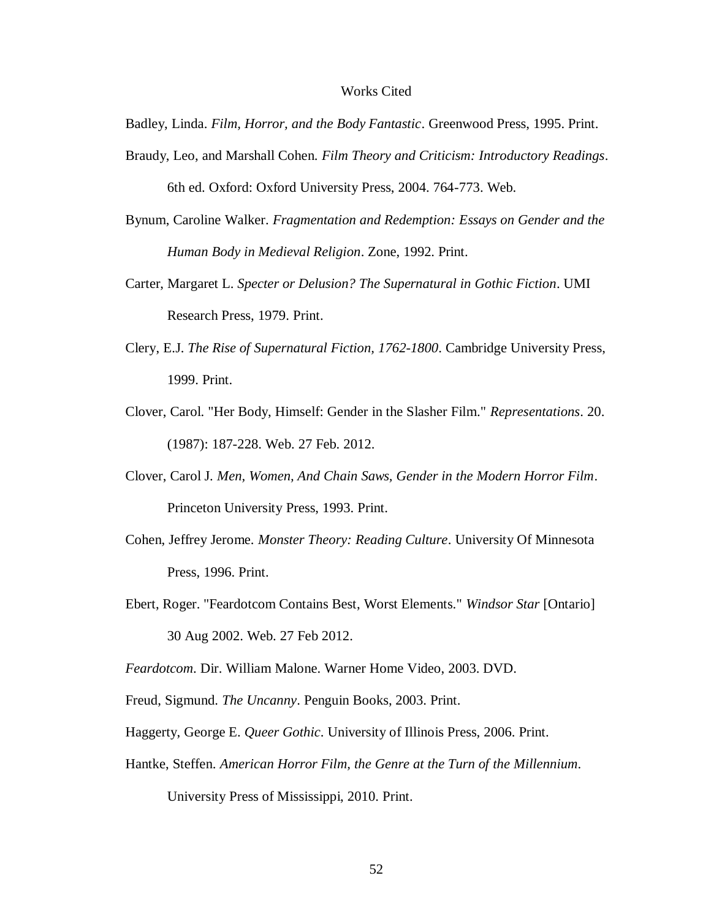#### Works Cited

Badley, Linda. *Film, Horror, and the Body Fantastic*. Greenwood Press, 1995. Print.

- Braudy, Leo, and Marshall Cohen. *Film Theory and Criticism: Introductory Readings*. 6th ed. Oxford: Oxford University Press, 2004. 764-773. Web.
- Bynum, Caroline Walker. *Fragmentation and Redemption: Essays on Gender and the Human Body in Medieval Religion*. Zone, 1992. Print.
- Carter, Margaret L. *Specter or Delusion? The Supernatural in Gothic Fiction*. UMI Research Press, 1979. Print.
- Clery, E.J. *The Rise of Supernatural Fiction, 1762-1800*. Cambridge University Press, 1999. Print.
- Clover, Carol. "Her Body, Himself: Gender in the Slasher Film." *Representations*. 20. (1987): 187-228. Web. 27 Feb. 2012.
- Clover, Carol J. *Men, Women, And Chain Saws, Gender in the Modern Horror Film*. Princeton University Press, 1993. Print.
- Cohen, Jeffrey Jerome. *Monster Theory: Reading Culture*. University Of Minnesota Press, 1996. Print.
- Ebert, Roger. "Feardotcom Contains Best, Worst Elements." *Windsor Star* [Ontario] 30 Aug 2002. Web. 27 Feb 2012.

*Feardotcom*. Dir. William Malone. Warner Home Video, 2003. DVD.

- Freud, Sigmund. *The Uncanny*. Penguin Books, 2003. Print.
- Haggerty, George E. *Queer Gothic*. University of Illinois Press, 2006. Print.
- Hantke, Steffen. *American Horror Film, the Genre at the Turn of the Millennium*.

University Press of Mississippi, 2010. Print.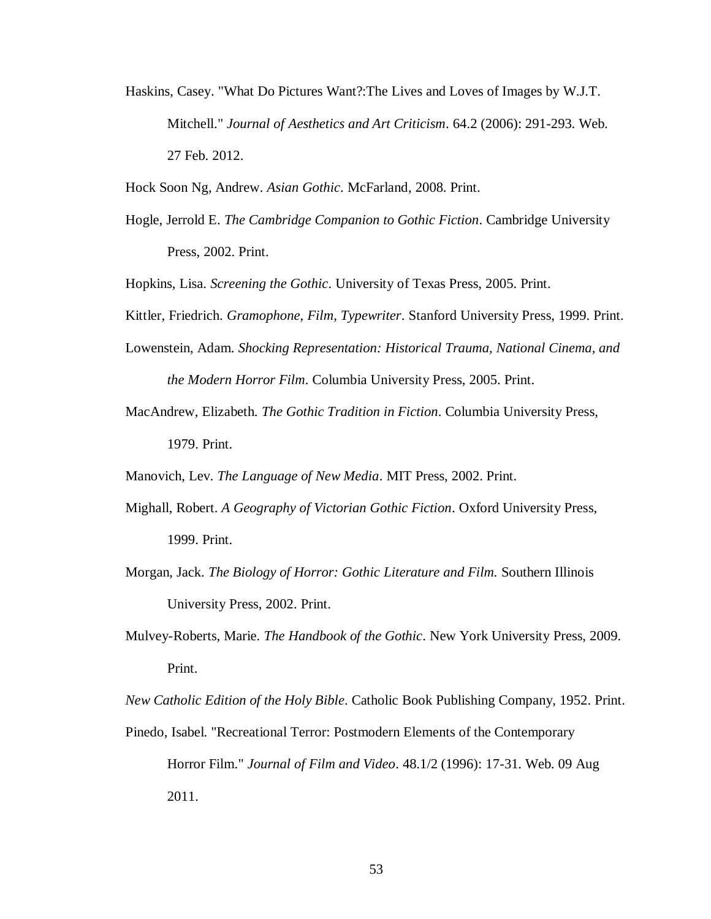Haskins, Casey. "What Do Pictures Want?:The Lives and Loves of Images by W.J.T. Mitchell." *Journal of Aesthetics and Art Criticism*. 64.2 (2006): 291-293. Web. 27 Feb. 2012.

Hock Soon Ng, Andrew. *Asian Gothic*. McFarland, 2008. Print.

Hogle, Jerrold E. *The Cambridge Companion to Gothic Fiction*. Cambridge University Press, 2002. Print.

Hopkins, Lisa. *Screening the Gothic*. University of Texas Press, 2005. Print.

- Kittler, Friedrich. *Gramophone, Film, Typewriter*. Stanford University Press, 1999. Print.
- Lowenstein, Adam. *Shocking Representation: Historical Trauma, National Cinema, and the Modern Horror Film*. Columbia University Press, 2005. Print.
- MacAndrew, Elizabeth. *The Gothic Tradition in Fiction*. Columbia University Press, 1979. Print.

Manovich, Lev. *The Language of New Media*. MIT Press, 2002. Print.

- Mighall, Robert. *A Geography of Victorian Gothic Fiction*. Oxford University Press, 1999. Print.
- Morgan, Jack. *The Biology of Horror: Gothic Literature and Film.* Southern Illinois University Press, 2002. Print.
- Mulvey-Roberts, Marie. *The Handbook of the Gothic*. New York University Press, 2009. Print.

*New Catholic Edition of the Holy Bible*. Catholic Book Publishing Company, 1952. Print.

Pinedo, Isabel. "Recreational Terror: Postmodern Elements of the Contemporary Horror Film." *Journal of Film and Video*. 48.1/2 (1996): 17-31. Web. 09 Aug 2011.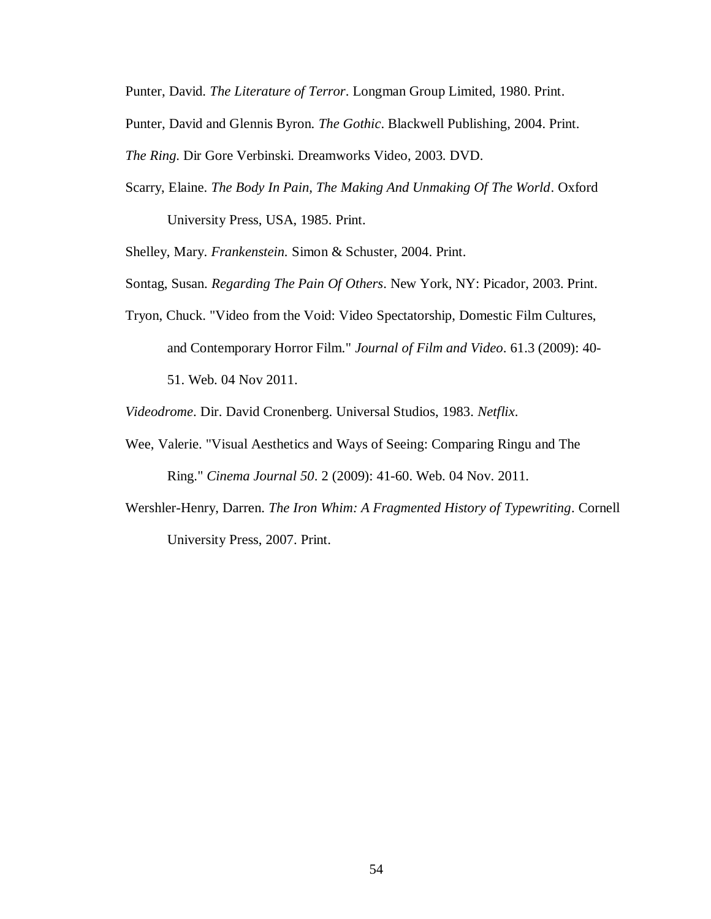Punter, David. *The Literature of Terror*. Longman Group Limited, 1980. Print.

Punter, David and Glennis Byron. *The Gothic*. Blackwell Publishing, 2004. Print.

*The Ring*. Dir Gore Verbinski. Dreamworks Video, 2003. DVD.

Scarry, Elaine. *The Body In Pain, The Making And Unmaking Of The World*. Oxford University Press, USA, 1985. Print.

Shelley, Mary. *Frankenstein.* Simon & Schuster, 2004. Print.

- Sontag, Susan. *Regarding The Pain Of Others*. New York, NY: Picador, 2003. Print.
- Tryon, Chuck. "Video from the Void: Video Spectatorship, Domestic Film Cultures, and Contemporary Horror Film." *Journal of Film and Video*. 61.3 (2009): 40- 51. Web. 04 Nov 2011.

*Videodrome*. Dir. David Cronenberg. Universal Studios, 1983. *Netflix*.

- Wee, Valerie. "Visual Aesthetics and Ways of Seeing: Comparing Ringu and The Ring." *Cinema Journal 50*. 2 (2009): 41-60. Web. 04 Nov. 2011.
- Wershler-Henry, Darren. *The Iron Whim: A Fragmented History of Typewriting*. Cornell University Press, 2007. Print.